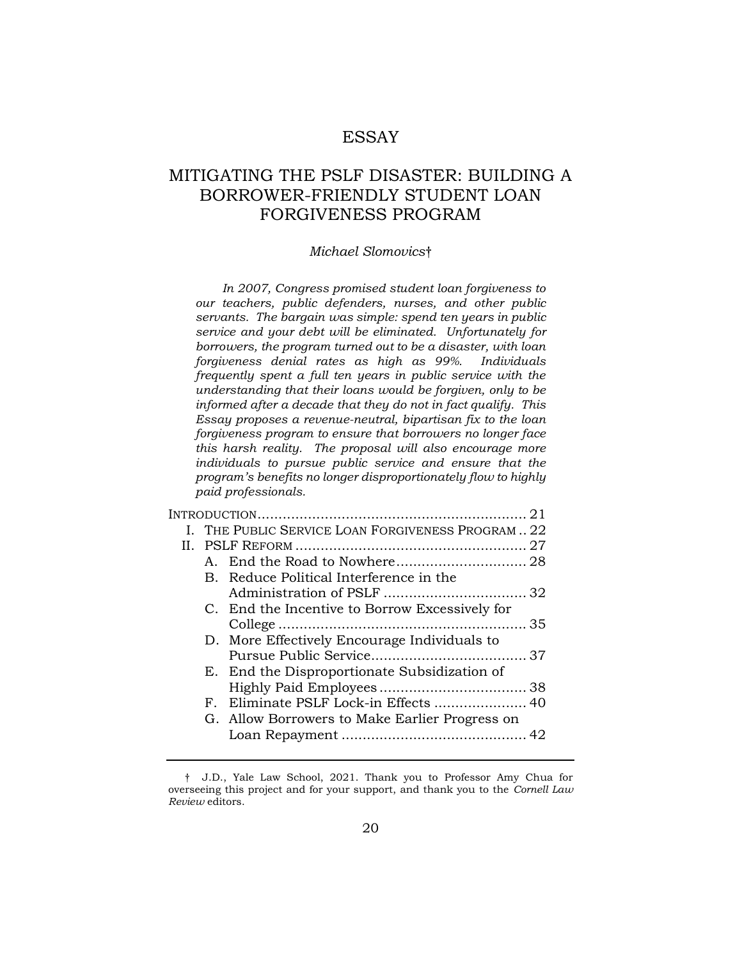# ESSAY

# MITIGATING THE PSLF DISASTER: BUILDING A BORROWER-FRIENDLY STUDENT LOAN FORGIVENESS PROGRAM

### Michael Slomovics†

In 2007, Congress promised student loan forgiveness to our teachers, public defenders, nurses, and other public servants. The bargain was simple: spend ten years in public service and your debt will be eliminated. Unfortunately for borrowers, the program turned out to be a disaster, with loan forgiveness denial rates as high as 99%. Individuals frequently spent a full ten years in public service with the understanding that their loans would be forgiven, only to be informed after a decade that they do not in fact qualify. This Essay proposes a revenue-neutral, bipartisan fix to the loan forgiveness program to ensure that borrowers no longer face this harsh reality. The proposal will also encourage more individuals to pursue public service and ensure that the program's benefits no longer disproportionately flow to highly paid professionals.

|  |  | I. THE PUBLIC SERVICE LOAN FORGIVENESS PROGRAM 22 |  |  |
|--|--|---------------------------------------------------|--|--|
|  |  |                                                   |  |  |
|  |  |                                                   |  |  |
|  |  | B. Reduce Political Interference in the           |  |  |
|  |  |                                                   |  |  |
|  |  | C. End the Incentive to Borrow Excessively for    |  |  |
|  |  |                                                   |  |  |
|  |  | D. More Effectively Encourage Individuals to      |  |  |
|  |  |                                                   |  |  |
|  |  | E. End the Disproportionate Subsidization of      |  |  |
|  |  |                                                   |  |  |
|  |  | F. Eliminate PSLF Lock-in Effects  40             |  |  |
|  |  | G. Allow Borrowers to Make Earlier Progress on    |  |  |
|  |  |                                                   |  |  |
|  |  |                                                   |  |  |

 <sup>†</sup> J.D., Yale Law School, 2021. Thank you to Professor Amy Chua for overseeing this project and for your support, and thank you to the Cornell Law Review editors.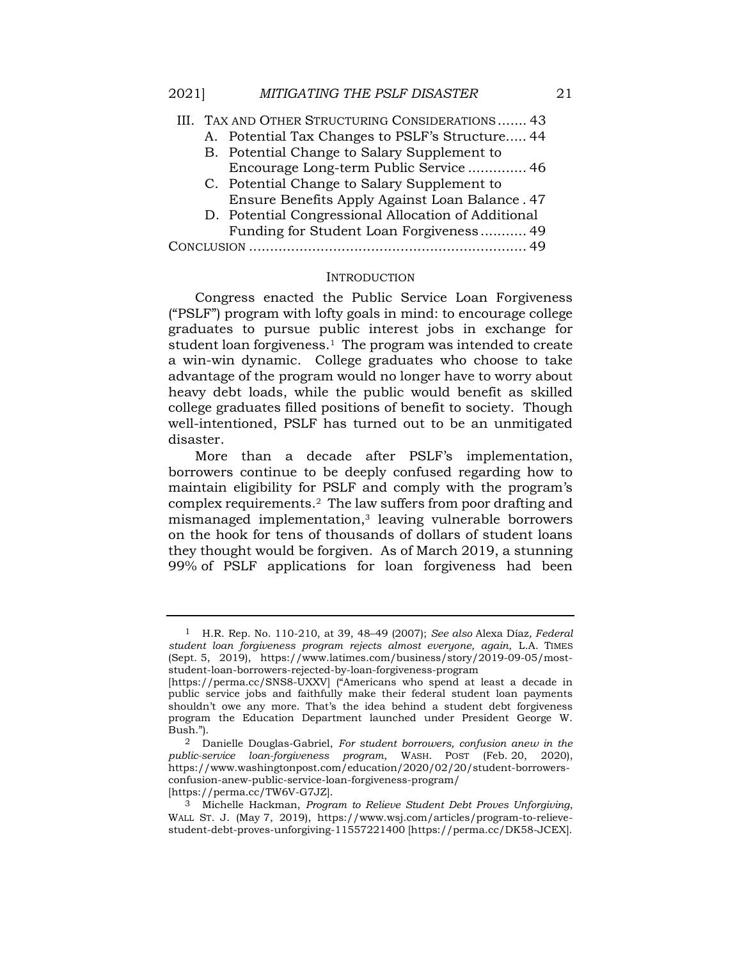| III. TAX AND OTHER STRUCTURING CONSIDERATIONS  43 |                                                     |  |
|---------------------------------------------------|-----------------------------------------------------|--|
|                                                   | A. Potential Tax Changes to PSLF's Structure 44     |  |
|                                                   | B. Potential Change to Salary Supplement to         |  |
|                                                   | Encourage Long-term Public Service 46               |  |
|                                                   | C. Potential Change to Salary Supplement to         |  |
|                                                   | Ensure Benefits Apply Against Loan Balance. 47      |  |
|                                                   | D. Potential Congressional Allocation of Additional |  |
|                                                   | — 1. c a. 1. <del>.</del>                           |  |

Funding for Student Loan Forgiveness ........... 49

# CONCLUSION .................................................................. 49

### **INTRODUCTION**

Congress enacted the Public Service Loan Forgiveness ("PSLF") program with lofty goals in mind: to encourage college graduates to pursue public interest jobs in exchange for student loan forgiveness. $1$  The program was intended to create a win-win dynamic. College graduates who choose to take advantage of the program would no longer have to worry about heavy debt loads, while the public would benefit as skilled college graduates filled positions of benefit to society. Though well-intentioned, PSLF has turned out to be an unmitigated disaster.

More than a decade after PSLF's implementation, borrowers continue to be deeply confused regarding how to maintain eligibility for PSLF and comply with the program's complex requirements.2 The law suffers from poor drafting and mismanaged implementation,3 leaving vulnerable borrowers on the hook for tens of thousands of dollars of student loans they thought would be forgiven. As of March 2019, a stunning 99% of PSLF applications for loan forgiveness had been

<sup>&</sup>lt;sup>1</sup> H.R. Rep. No. 110-210, at 39, 48–49 (2007); See also Alexa Díaz, Federal student loan forgiveness program rejects almost everyone, again, L.A. TIMES (Sept. 5, 2019), https://www.latimes.com/business/story/2019-09-05/moststudent-loan-borrowers-rejected-by-loan-forgiveness-program

<sup>[</sup>https://perma.cc/SNS8-UXXV] ("Americans who spend at least a decade in public service jobs and faithfully make their federal student loan payments shouldn't owe any more. That's the idea behind a student debt forgiveness program the Education Department launched under President George W. Bush.").

<sup>2</sup> Danielle Douglas-Gabriel, For student borrowers, confusion anew in the public-service loan-forgiveness program, WASH. POST (Feb. 20, 2020), https://www.washingtonpost.com/education/2020/02/20/student-borrowersconfusion-anew-public-service-loan-forgiveness-program/ [https://perma.cc/TW6V-G7JZ].

<sup>3</sup> Michelle Hackman, Program to Relieve Student Debt Proves Unforgiving, WALL ST. J. (May 7, 2019), https://www.wsj.com/articles/program-to-relievestudent-debt-proves-unforgiving-11557221400 [https://perma.cc/DK58-JCEX].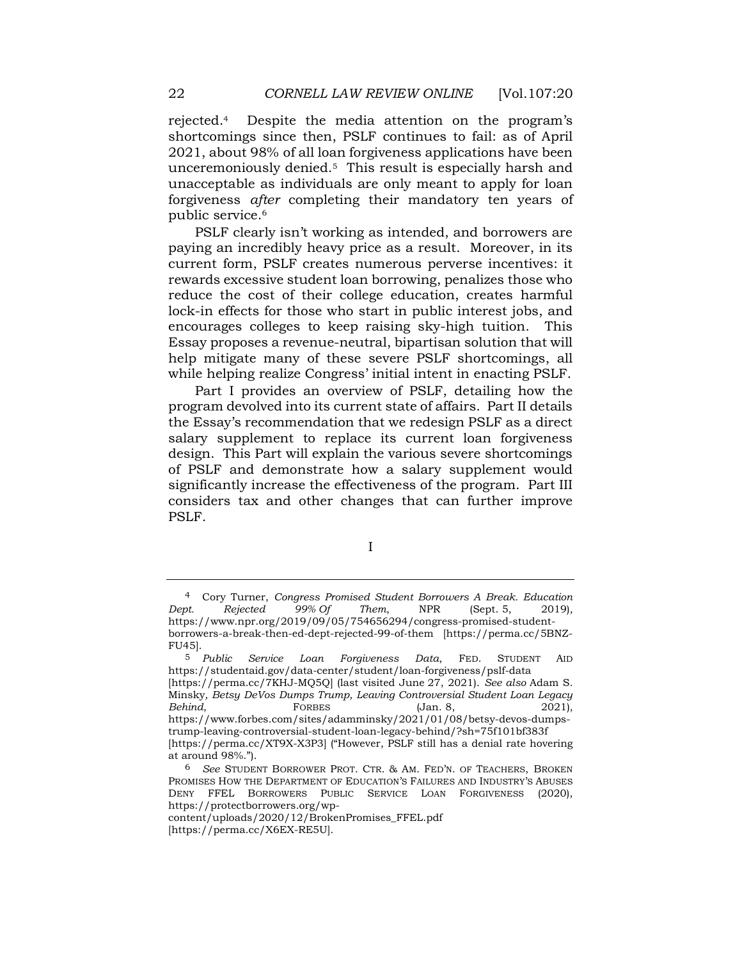rejected.4 Despite the media attention on the program's shortcomings since then, PSLF continues to fail: as of April 2021, about 98% of all loan forgiveness applications have been unceremoniously denied.5 This result is especially harsh and unacceptable as individuals are only meant to apply for loan forgiveness after completing their mandatory ten years of public service.<sup>6</sup>

PSLF clearly isn't working as intended, and borrowers are paying an incredibly heavy price as a result. Moreover, in its current form, PSLF creates numerous perverse incentives: it rewards excessive student loan borrowing, penalizes those who reduce the cost of their college education, creates harmful lock-in effects for those who start in public interest jobs, and encourages colleges to keep raising sky-high tuition. This Essay proposes a revenue-neutral, bipartisan solution that will help mitigate many of these severe PSLF shortcomings, all while helping realize Congress' initial intent in enacting PSLF.

Part I provides an overview of PSLF, detailing how the program devolved into its current state of affairs. Part II details the Essay's recommendation that we redesign PSLF as a direct salary supplement to replace its current loan forgiveness design. This Part will explain the various severe shortcomings of PSLF and demonstrate how a salary supplement would significantly increase the effectiveness of the program. Part III considers tax and other changes that can further improve PSLF.

I

<sup>4</sup> Cory Turner, Congress Promised Student Borrowers A Break. Education<br>pt. Rejected 99% Of Them, NPR (Sept. 5, 2019), Dept. Rejected 99% Of Them, NPR (Sept. 5, 2019), https://www.npr.org/2019/09/05/754656294/congress-promised-studentborrowers-a-break-then-ed-dept-rejected-99-of-them [https://perma.cc/5BNZ-FU45].

<sup>5</sup> Public Service Loan Forgiveness Data, FED. STUDENT AID https://studentaid.gov/data-center/student/loan-forgiveness/pslf-data [https://perma.cc/7KHJ-MQ5Q] (last visited June 27, 2021). See also Adam S. Minsky, Betsy DeVos Dumps Trump, Leaving Controversial Student Loan Legacy Behind, FORBES (Jan. 8, 2021), https://www.forbes.com/sites/adamminsky/2021/01/08/betsy-devos-dumpstrump-leaving-controversial-student-loan-legacy-behind/?sh=75f101bf383f [https://perma.cc/XT9X-X3P3] ("However, PSLF still has a denial rate hovering at around 98%.").

<sup>6</sup> See STUDENT BORROWER PROT. CTR. & AM. FED'N. OF TEACHERS, BROKEN PROMISES HOW THE DEPARTMENT OF EDUCATION'S FAILURES AND INDUSTRY'S ABUSES DENY FFEL BORROWERS PUBLIC SERVICE LOAN FORGIVENESS (2020), https://protectborrowers.org/wp-

content/uploads/2020/12/BrokenPromises\_FFEL.pdf [https://perma.cc/X6EX-RE5U].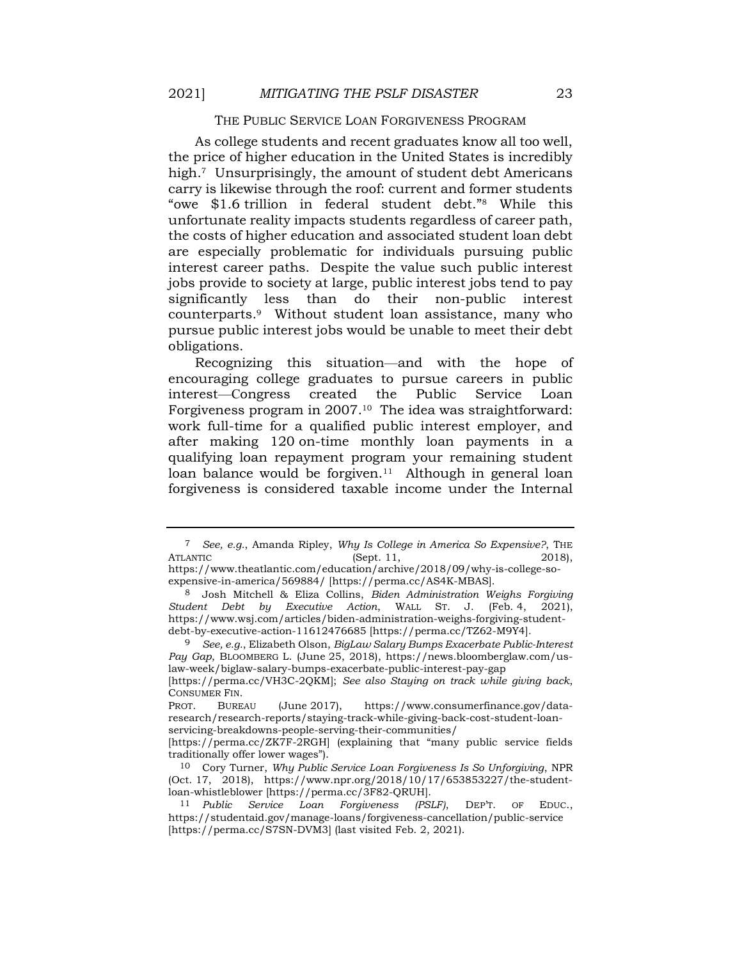### THE PUBLIC SERVICE LOAN FORGIVENESS PROGRAM

As college students and recent graduates know all too well, the price of higher education in the United States is incredibly high.7 Unsurprisingly, the amount of student debt Americans carry is likewise through the roof: current and former students "owe \$1.6 trillion in federal student debt."8 While this unfortunate reality impacts students regardless of career path, the costs of higher education and associated student loan debt are especially problematic for individuals pursuing public interest career paths. Despite the value such public interest jobs provide to society at large, public interest jobs tend to pay significantly less than do their non-public interest counterparts.9 Without student loan assistance, many who pursue public interest jobs would be unable to meet their debt obligations.

Recognizing this situation—and with the hope of encouraging college graduates to pursue careers in public interest—Congress created the Public Service Loan Forgiveness program in 2007.10 The idea was straightforward: work full-time for a qualified public interest employer, and after making 120 on-time monthly loan payments in a qualifying loan repayment program your remaining student loan balance would be forgiven. $11$  Although in general loan forgiveness is considered taxable income under the Internal

<sup>7</sup> See, e.g., Amanda Ripley, Why Is College in America So Expensive?, THE ATLANTIC (Sept. 11, 2018), https://www.theatlantic.com/education/archive/2018/09/why-is-college-so-

expensive-in-america/569884/ [https://perma.cc/AS4K-MBAS]. 8 Josh Mitchell & Eliza Collins, Biden Administration Weighs Forgiving Student Debt by Executive Action, WALL ST. J. (Feb. 4, 2021), https://www.wsj.com/articles/biden-administration-weighs-forgiving-studentdebt-by-executive-action-11612476685 [https://perma.cc/TZ62-M9Y4].

<sup>9</sup> See, e.g., Elizabeth Olson, BigLaw Salary Bumps Exacerbate Public-Interest Pay Gap, BLOOMBERG L. (June 25, 2018), https://news.bloomberglaw.com/uslaw-week/biglaw-salary-bumps-exacerbate-public-interest-pay-gap

<sup>[</sup>https://perma.cc/VH3C-2QKM]; See also Staying on track while giving back, CONSUMER FIN.

PROT. BUREAU (June 2017), https://www.consumerfinance.gov/dataresearch/research-reports/staying-track-while-giving-back-cost-student-loanservicing-breakdowns-people-serving-their-communities/

<sup>[</sup>https://perma.cc/ZK7F-2RGH] (explaining that "many public service fields traditionally offer lower wages").

<sup>10</sup> Cory Turner, Why Public Service Loan Forgiveness Is So Unforgiving, NPR (Oct. 17, 2018), https://www.npr.org/2018/10/17/653853227/the-studentloan-whistleblower [https://perma.cc/3F82-QRUH].

<sup>11</sup> Public Service Loan Forgiveness (PSLF), DEP'T. OF EDUC., https://studentaid.gov/manage-loans/forgiveness-cancellation/public-service [https://perma.cc/S7SN-DVM3] (last visited Feb. 2, 2021).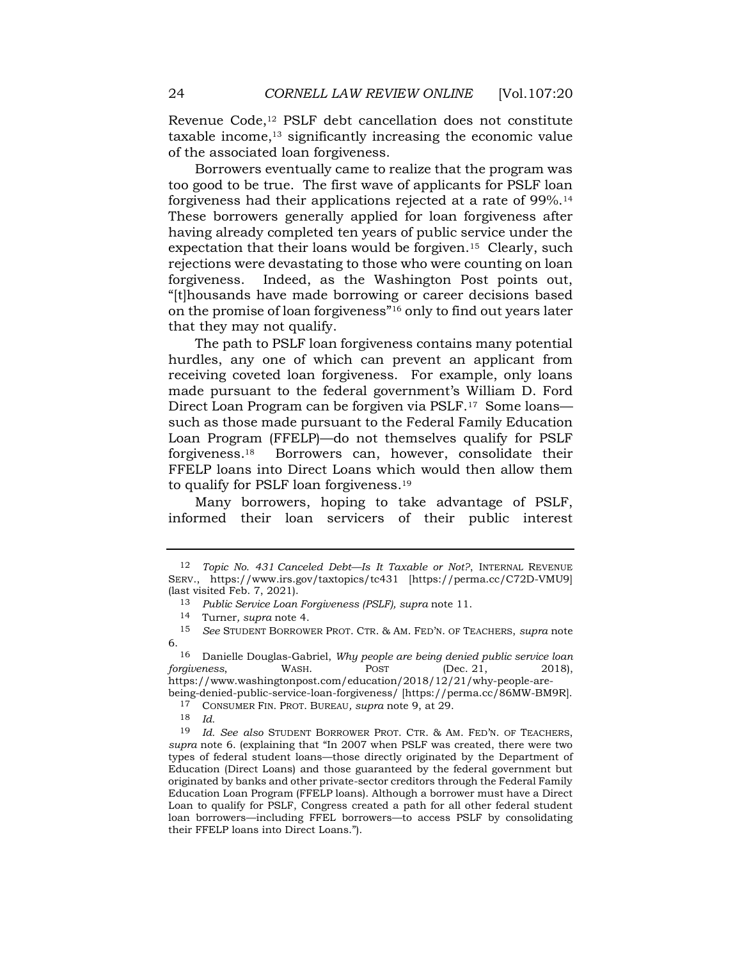Revenue Code,12 PSLF debt cancellation does not constitute taxable income,13 significantly increasing the economic value of the associated loan forgiveness.

Borrowers eventually came to realize that the program was too good to be true. The first wave of applicants for PSLF loan forgiveness had their applications rejected at a rate of 99%.<sup>14</sup> These borrowers generally applied for loan forgiveness after having already completed ten years of public service under the expectation that their loans would be forgiven.<sup>15</sup> Clearly, such rejections were devastating to those who were counting on loan forgiveness. Indeed, as the Washington Post points out, "[t]housands have made borrowing or career decisions based on the promise of loan forgiveness"16 only to find out years later that they may not qualify.

The path to PSLF loan forgiveness contains many potential hurdles, any one of which can prevent an applicant from receiving coveted loan forgiveness. For example, only loans made pursuant to the federal government's William D. Ford Direct Loan Program can be forgiven via PSLF.17 Some loans such as those made pursuant to the Federal Family Education Loan Program (FFELP)—do not themselves qualify for PSLF forgiveness.18 Borrowers can, however, consolidate their FFELP loans into Direct Loans which would then allow them to qualify for PSLF loan forgiveness.<sup>19</sup>

Many borrowers, hoping to take advantage of PSLF, informed their loan servicers of their public interest

being-denied-public-service-loan-forgiveness/ [https://perma.cc/86MW-BM9R].

17 CONSUMER FIN. PROT. BUREAU, supra note 9, at 29.

<sup>12</sup> Topic No. 431 Canceled Debt—Is It Taxable or Not?, INTERNAL REVENUE SERV., https://www.irs.gov/taxtopics/tc431 [https://perma.cc/C72D-VMU9] (last visited Feb. 7, 2021).

<sup>13</sup> Public Service Loan Forgiveness (PSLF), supra note 11.

<sup>14</sup> Turner, supra note 4.

<sup>15</sup> See STUDENT BORROWER PROT. CTR. & AM. FED'N. OF TEACHERS, supra note 6.

<sup>16</sup> Danielle Douglas-Gabriel, Why people are being denied public service loan forgiveness. WASH. POST (Dec. 21, 2018), https://www.washingtonpost.com/education/2018/12/21/why-people-are-

<sup>18</sup> Id.

<sup>19</sup> Id. See also STUDENT BORROWER PROT. CTR. & AM. FED'N. OF TEACHERS, supra note 6. (explaining that "In 2007 when PSLF was created, there were two types of federal student loans—those directly originated by the Department of Education (Direct Loans) and those guaranteed by the federal government but originated by banks and other private-sector creditors through the Federal Family Education Loan Program (FFELP loans). Although a borrower must have a Direct Loan to qualify for PSLF, Congress created a path for all other federal student loan borrowers—including FFEL borrowers—to access PSLF by consolidating their FFELP loans into Direct Loans.").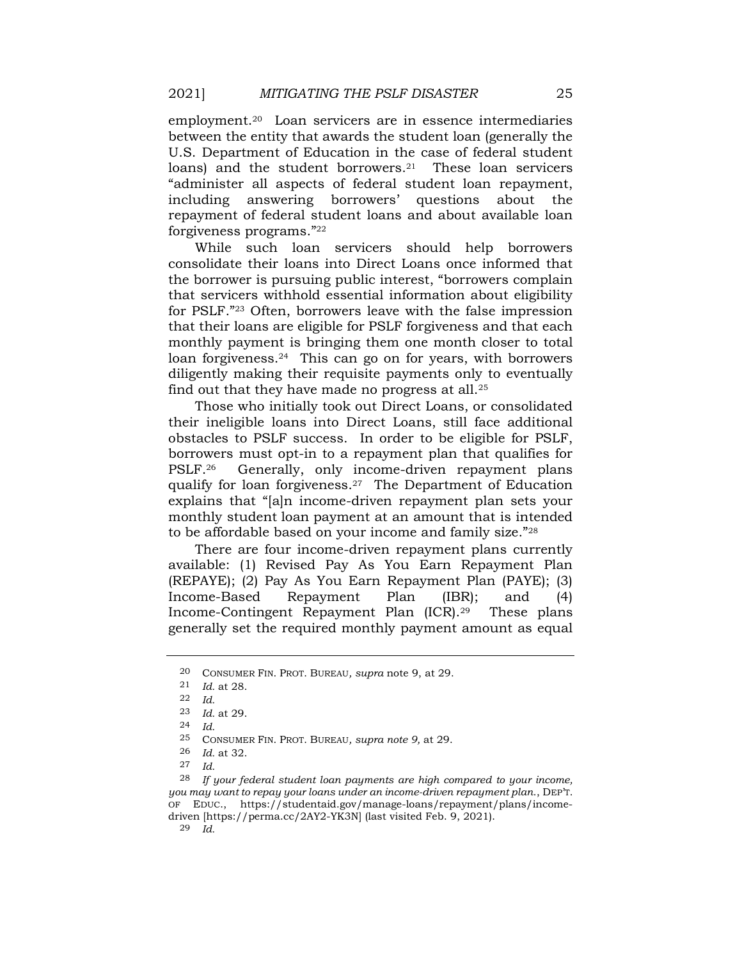employment.20 Loan servicers are in essence intermediaries between the entity that awards the student loan (generally the U.S. Department of Education in the case of federal student loans) and the student borrowers.<sup>21</sup> These loan servicers "administer all aspects of federal student loan repayment, including answering borrowers' questions about the repayment of federal student loans and about available loan forgiveness programs."<sup>22</sup>

While such loan servicers should help borrowers consolidate their loans into Direct Loans once informed that the borrower is pursuing public interest, "borrowers complain that servicers withhold essential information about eligibility for PSLF."23 Often, borrowers leave with the false impression that their loans are eligible for PSLF forgiveness and that each monthly payment is bringing them one month closer to total loan forgiveness.<sup>24</sup> This can go on for years, with borrowers diligently making their requisite payments only to eventually find out that they have made no progress at all. $25$ 

Those who initially took out Direct Loans, or consolidated their ineligible loans into Direct Loans, still face additional obstacles to PSLF success. In order to be eligible for PSLF, borrowers must opt-in to a repayment plan that qualifies for PSLF.26 Generally, only income-driven repayment plans qualify for loan forgiveness.<sup>27</sup> The Department of Education explains that "[a]n income-driven repayment plan sets your monthly student loan payment at an amount that is intended to be affordable based on your income and family size."<sup>28</sup>

There are four income-driven repayment plans currently available: (1) Revised Pay As You Earn Repayment Plan (REPAYE); (2) Pay As You Earn Repayment Plan (PAYE); (3) Income-Based Repayment Plan (IBR); and (4) Income-Contingent Repayment Plan (ICR).29 These plans generally set the required monthly payment amount as equal

<sup>20</sup> CONSUMER FIN. PROT. BUREAU, supra note 9, at 29.

<sup>21</sup> Id. at 28.

<sup>22</sup> Id.

<sup>23</sup> Id. at 29.

<sup>24</sup> Id.

<sup>25</sup> CONSUMER FIN. PROT. BUREAU, supra note 9, at 29.

<sup>26</sup> Id. at 32.

<sup>27</sup> Id.

 $28$  If your federal student loan payments are high compared to your income, you may want to repay your loans under an income-driven repayment plan., DEP'T. OF EDUC., https://studentaid.gov/manage-loans/repayment/plans/incomedriven [https://perma.cc/2AY2-YK3N] (last visited Feb. 9, 2021).

<sup>29</sup> Id.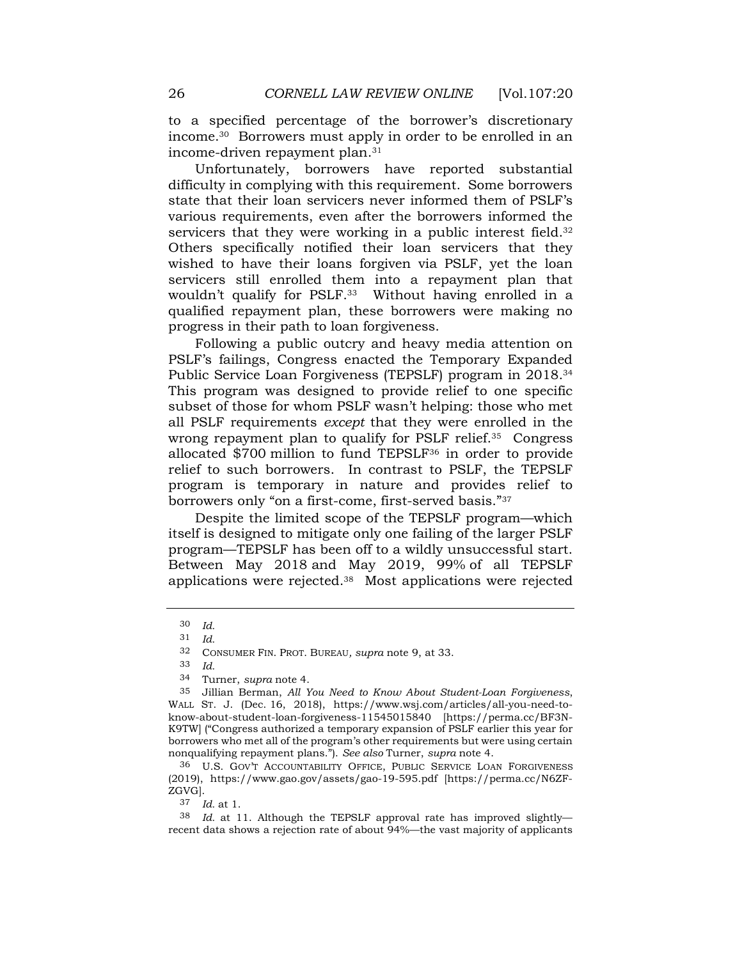to a specified percentage of the borrower's discretionary income.30 Borrowers must apply in order to be enrolled in an income-driven repayment plan.<sup>31</sup>

Unfortunately, borrowers have reported substantial difficulty in complying with this requirement. Some borrowers state that their loan servicers never informed them of PSLF's various requirements, even after the borrowers informed the servicers that they were working in a public interest field.<sup>32</sup> Others specifically notified their loan servicers that they wished to have their loans forgiven via PSLF, yet the loan servicers still enrolled them into a repayment plan that wouldn't qualify for PSLF.<sup>33</sup> Without having enrolled in a qualified repayment plan, these borrowers were making no progress in their path to loan forgiveness.

Following a public outcry and heavy media attention on PSLF's failings, Congress enacted the Temporary Expanded Public Service Loan Forgiveness (TEPSLF) program in 2018.<sup>34</sup> This program was designed to provide relief to one specific subset of those for whom PSLF wasn't helping: those who met all PSLF requirements except that they were enrolled in the wrong repayment plan to qualify for PSLF relief.<sup>35</sup> Congress allocated \$700 million to fund TEPSLF36 in order to provide relief to such borrowers. In contrast to PSLF, the TEPSLF program is temporary in nature and provides relief to borrowers only "on a first-come, first-served basis."<sup>37</sup>

Despite the limited scope of the TEPSLF program—which itself is designed to mitigate only one failing of the larger PSLF program—TEPSLF has been off to a wildly unsuccessful start. Between May 2018 and May 2019, 99% of all TEPSLF applications were rejected.38 Most applications were rejected

33 Id.

<sup>30</sup> Id.

<sup>31</sup> Id.

<sup>32</sup> CONSUMER FIN. PROT. BUREAU, supra note 9, at 33.

<sup>34</sup> Turner, supra note 4.

<sup>35</sup> Jillian Berman, All You Need to Know About Student-Loan Forgiveness, WALL ST. J. (Dec. 16, 2018), https://www.wsj.com/articles/all-you-need-toknow-about-student-loan-forgiveness-11545015840 [https://perma.cc/BF3N-K9TW] ("Congress authorized a temporary expansion of PSLF earlier this year for borrowers who met all of the program's other requirements but were using certain nonqualifying repayment plans."). See also Turner, supra note 4.

<sup>36</sup> U.S. GOV'T ACCOUNTABILITY OFFICE, PUBLIC SERVICE LOAN FORGIVENESS (2019), https://www.gao.gov/assets/gao-19-595.pdf [https://perma.cc/N6ZF-ZGVG].

<sup>37</sup> Id. at 1.

<sup>38</sup> Id. at 11. Although the TEPSLF approval rate has improved slightly recent data shows a rejection rate of about 94%—the vast majority of applicants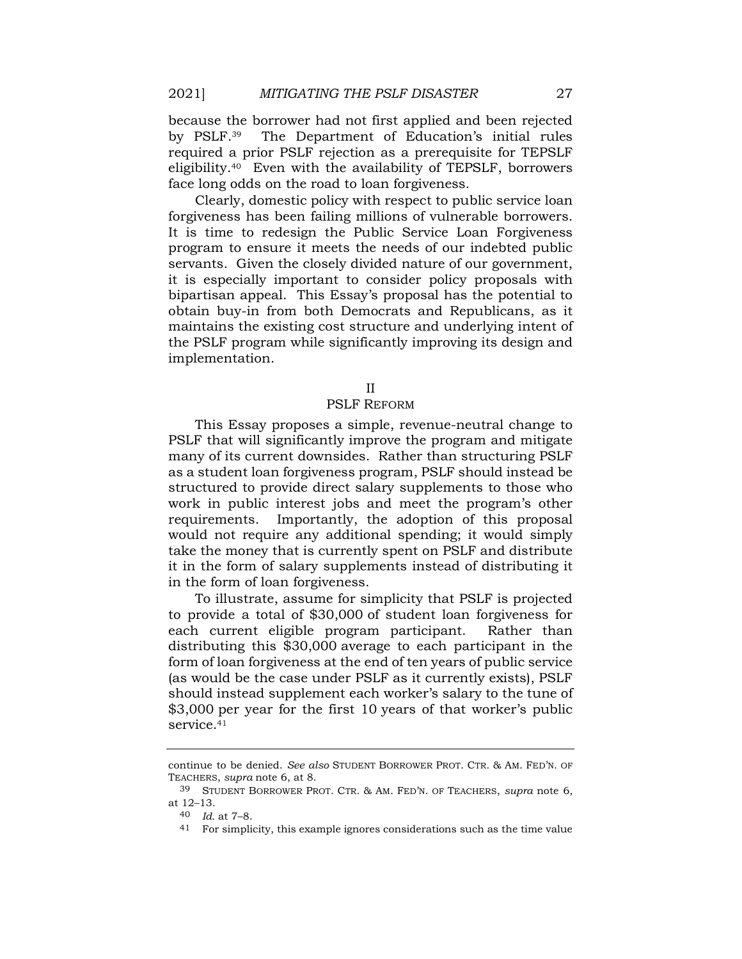because the borrower had not first applied and been rejected by PSLF.39 The Department of Education's initial rules required a prior PSLF rejection as a prerequisite for TEPSLF eligibility.40 Even with the availability of TEPSLF, borrowers face long odds on the road to loan forgiveness.

Clearly, domestic policy with respect to public service loan forgiveness has been failing millions of vulnerable borrowers. It is time to redesign the Public Service Loan Forgiveness program to ensure it meets the needs of our indebted public servants. Given the closely divided nature of our government, it is especially important to consider policy proposals with bipartisan appeal. This Essay's proposal has the potential to obtain buy-in from both Democrats and Republicans, as it maintains the existing cost structure and underlying intent of the PSLF program while significantly improving its design and implementation.

## II

## PSLF REFORM

This Essay proposes a simple, revenue-neutral change to PSLF that will significantly improve the program and mitigate many of its current downsides. Rather than structuring PSLF as a student loan forgiveness program, PSLF should instead be structured to provide direct salary supplements to those who work in public interest jobs and meet the program's other requirements. Importantly, the adoption of this proposal would not require any additional spending; it would simply take the money that is currently spent on PSLF and distribute it in the form of salary supplements instead of distributing it in the form of loan forgiveness.

To illustrate, assume for simplicity that PSLF is projected to provide a total of \$30,000 of student loan forgiveness for each current eligible program participant. Rather than distributing this \$30,000 average to each participant in the form of loan forgiveness at the end of ten years of public service (as would be the case under PSLF as it currently exists), PSLF should instead supplement each worker's salary to the tune of \$3,000 per year for the first 10 years of that worker's public service.<sup>41</sup>

continue to be denied. See also STUDENT BORROWER PROT. CTR. & AM. FED'N. OF TEACHERS, supra note 6, at 8.

<sup>39</sup> STUDENT BORROWER PROT. CTR. & AM. FED'N. OF TEACHERS, supra note 6, at 12–13.

<sup>40</sup> Id. at 7–8.

<sup>&</sup>lt;sup>41</sup> For simplicity, this example ignores considerations such as the time value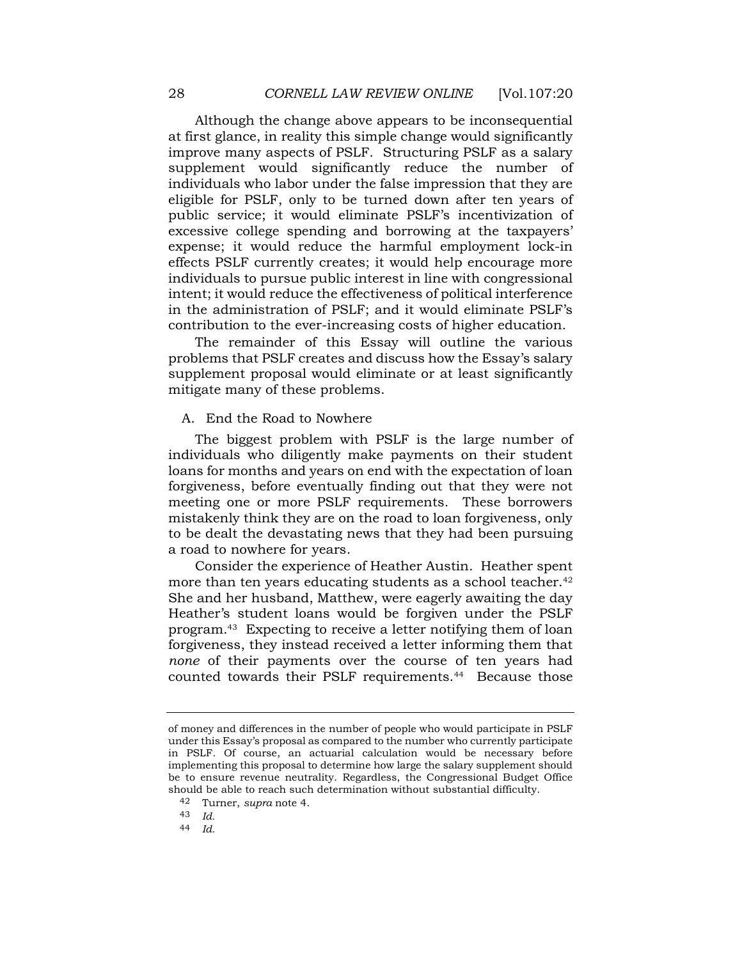Although the change above appears to be inconsequential at first glance, in reality this simple change would significantly improve many aspects of PSLF. Structuring PSLF as a salary supplement would significantly reduce the number of individuals who labor under the false impression that they are eligible for PSLF, only to be turned down after ten years of public service; it would eliminate PSLF's incentivization of excessive college spending and borrowing at the taxpayers' expense; it would reduce the harmful employment lock-in effects PSLF currently creates; it would help encourage more individuals to pursue public interest in line with congressional intent; it would reduce the effectiveness of political interference in the administration of PSLF; and it would eliminate PSLF's contribution to the ever-increasing costs of higher education.

The remainder of this Essay will outline the various problems that PSLF creates and discuss how the Essay's salary supplement proposal would eliminate or at least significantly mitigate many of these problems.

## A. End the Road to Nowhere

The biggest problem with PSLF is the large number of individuals who diligently make payments on their student loans for months and years on end with the expectation of loan forgiveness, before eventually finding out that they were not meeting one or more PSLF requirements. These borrowers mistakenly think they are on the road to loan forgiveness, only to be dealt the devastating news that they had been pursuing a road to nowhere for years.

Consider the experience of Heather Austin. Heather spent more than ten years educating students as a school teacher.<sup>42</sup> She and her husband, Matthew, were eagerly awaiting the day Heather's student loans would be forgiven under the PSLF program.43 Expecting to receive a letter notifying them of loan forgiveness, they instead received a letter informing them that none of their payments over the course of ten years had counted towards their PSLF requirements.<sup>44</sup> Because those

of money and differences in the number of people who would participate in PSLF under this Essay's proposal as compared to the number who currently participate in PSLF. Of course, an actuarial calculation would be necessary before implementing this proposal to determine how large the salary supplement should be to ensure revenue neutrality. Regardless, the Congressional Budget Office should be able to reach such determination without substantial difficulty.

<sup>42</sup> Turner, supra note 4.

<sup>43</sup> Id.

<sup>44</sup> Id.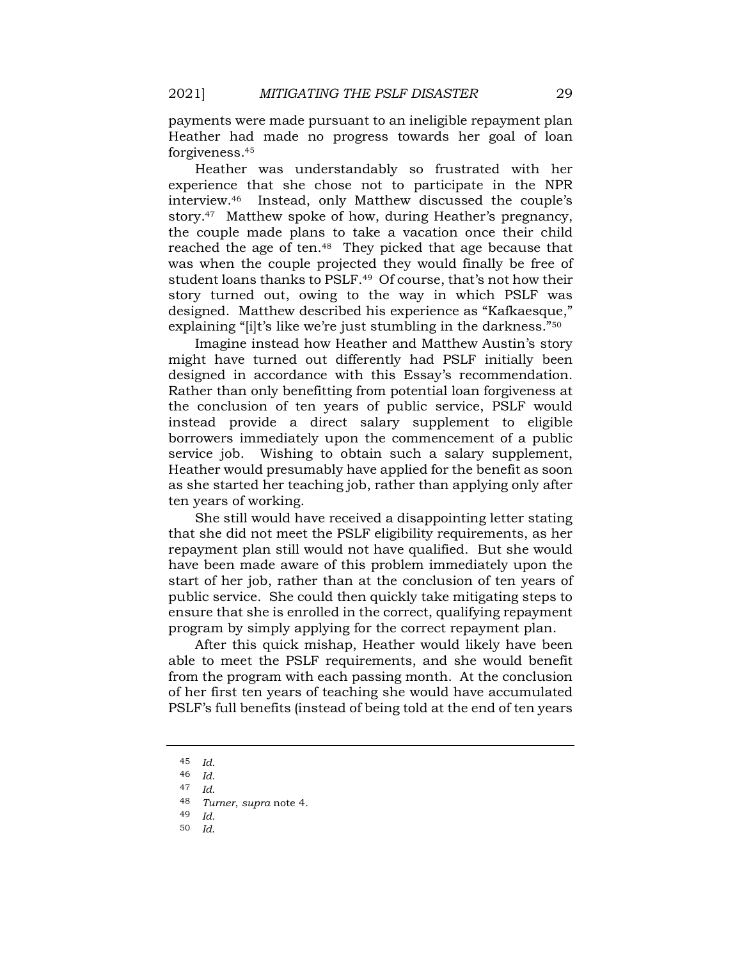payments were made pursuant to an ineligible repayment plan Heather had made no progress towards her goal of loan forgiveness.<sup>45</sup>

Heather was understandably so frustrated with her experience that she chose not to participate in the NPR interview.46 Instead, only Matthew discussed the couple's story.<sup>47</sup> Matthew spoke of how, during Heather's pregnancy, the couple made plans to take a vacation once their child reached the age of ten.<sup>48</sup> They picked that age because that was when the couple projected they would finally be free of student loans thanks to PSLF.<sup>49</sup> Of course, that's not how their story turned out, owing to the way in which PSLF was designed. Matthew described his experience as "Kafkaesque," explaining "[i]t's like we're just stumbling in the darkness."<sup>50</sup>

Imagine instead how Heather and Matthew Austin's story might have turned out differently had PSLF initially been designed in accordance with this Essay's recommendation. Rather than only benefitting from potential loan forgiveness at the conclusion of ten years of public service, PSLF would instead provide a direct salary supplement to eligible borrowers immediately upon the commencement of a public service job. Wishing to obtain such a salary supplement, Heather would presumably have applied for the benefit as soon as she started her teaching job, rather than applying only after ten years of working.

She still would have received a disappointing letter stating that she did not meet the PSLF eligibility requirements, as her repayment plan still would not have qualified. But she would have been made aware of this problem immediately upon the start of her job, rather than at the conclusion of ten years of public service. She could then quickly take mitigating steps to ensure that she is enrolled in the correct, qualifying repayment program by simply applying for the correct repayment plan.

After this quick mishap, Heather would likely have been able to meet the PSLF requirements, and she would benefit from the program with each passing month. At the conclusion of her first ten years of teaching she would have accumulated PSLF's full benefits (instead of being told at the end of ten years

<sup>45</sup> Id.

<sup>46</sup> Id.

<sup>47</sup> Id.

<sup>48</sup> Turner, supra note 4.

<sup>49</sup> Id.

<sup>50</sup> Id.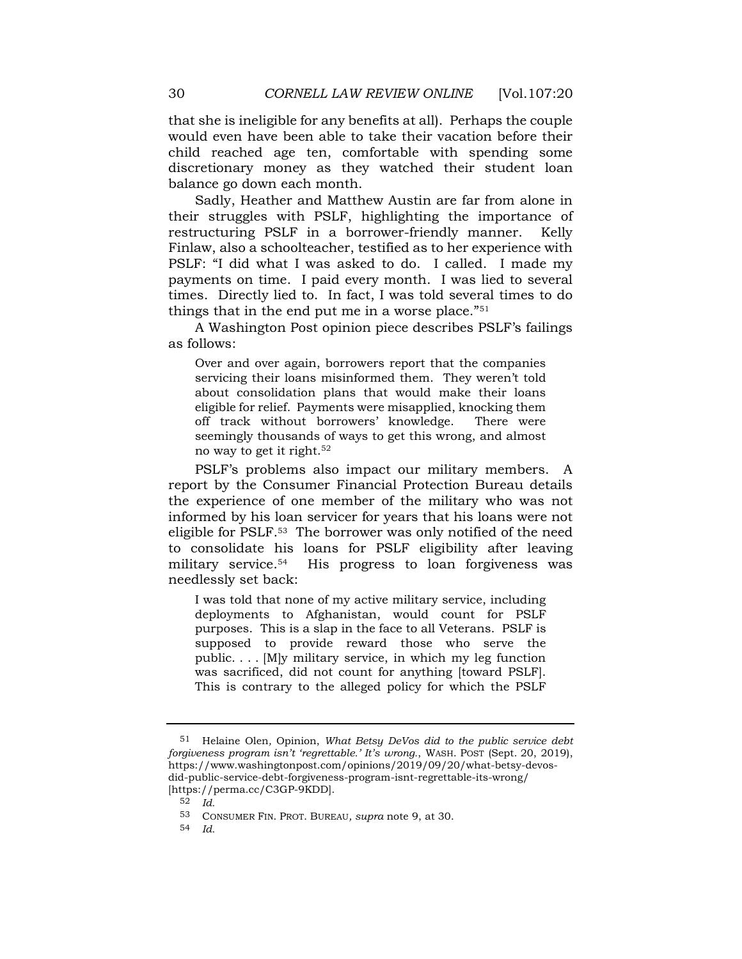that she is ineligible for any benefits at all). Perhaps the couple would even have been able to take their vacation before their child reached age ten, comfortable with spending some discretionary money as they watched their student loan balance go down each month.

Sadly, Heather and Matthew Austin are far from alone in their struggles with PSLF, highlighting the importance of restructuring PSLF in a borrower-friendly manner. Kelly Finlaw, also a schoolteacher, testified as to her experience with PSLF: "I did what I was asked to do. I called. I made my payments on time. I paid every month. I was lied to several times. Directly lied to. In fact, I was told several times to do things that in the end put me in a worse place."<sup>51</sup>

A Washington Post opinion piece describes PSLF's failings as follows:

Over and over again, borrowers report that the companies servicing their loans misinformed them. They weren't told about consolidation plans that would make their loans eligible for relief. Payments were misapplied, knocking them off track without borrowers' knowledge. There were seemingly thousands of ways to get this wrong, and almost no way to get it right.<sup>52</sup>

PSLF's problems also impact our military members. A report by the Consumer Financial Protection Bureau details the experience of one member of the military who was not informed by his loan servicer for years that his loans were not eligible for PSLF.53 The borrower was only notified of the need to consolidate his loans for PSLF eligibility after leaving military service.<sup>54</sup> His progress to loan forgiveness was needlessly set back:

I was told that none of my active military service, including deployments to Afghanistan, would count for PSLF purposes. This is a slap in the face to all Veterans. PSLF is supposed to provide reward those who serve the public. . . . [M]y military service, in which my leg function was sacrificed, did not count for anything [toward PSLF]. This is contrary to the alleged policy for which the PSLF

<sup>51</sup> Helaine Olen, Opinion, What Betsy DeVos did to the public service debt forgiveness program isn't 'regrettable.' It's wrong., WASH. POST (Sept. 20, 2019), https://www.washingtonpost.com/opinions/2019/09/20/what-betsy-devosdid-public-service-debt-forgiveness-program-isnt-regrettable-its-wrong/ [https://perma.cc/C3GP-9KDD].

<sup>52</sup> Id.

<sup>53</sup> CONSUMER FIN. PROT. BUREAU, supra note 9, at 30.

<sup>54</sup> Id.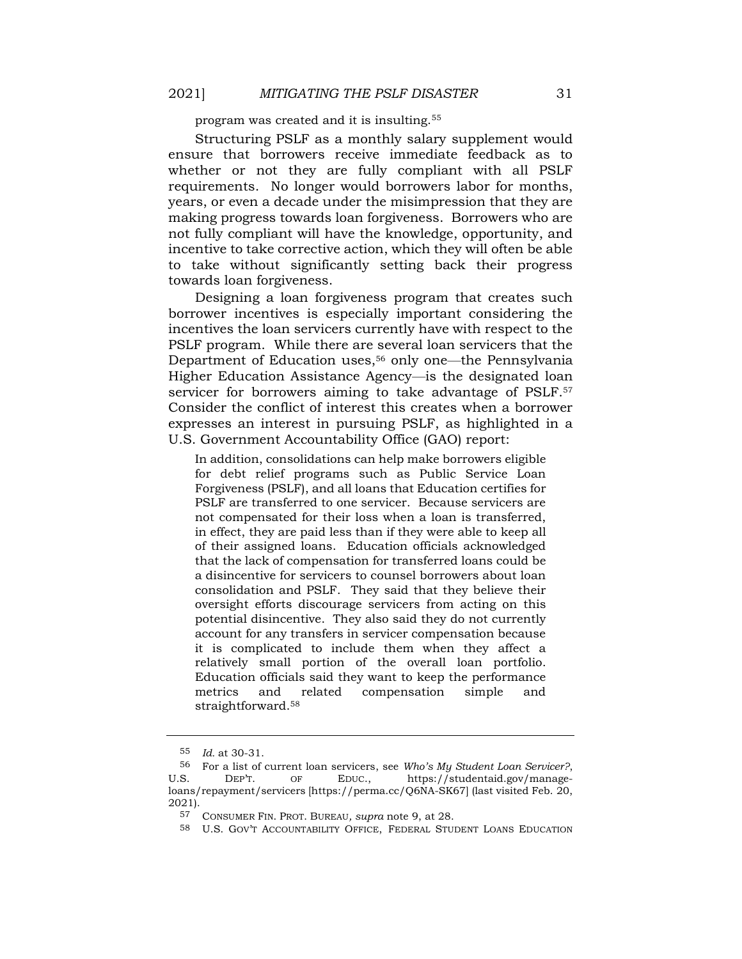program was created and it is insulting.<sup>55</sup>

Structuring PSLF as a monthly salary supplement would ensure that borrowers receive immediate feedback as to whether or not they are fully compliant with all PSLF requirements. No longer would borrowers labor for months, years, or even a decade under the misimpression that they are making progress towards loan forgiveness. Borrowers who are not fully compliant will have the knowledge, opportunity, and incentive to take corrective action, which they will often be able to take without significantly setting back their progress towards loan forgiveness.

Designing a loan forgiveness program that creates such borrower incentives is especially important considering the incentives the loan servicers currently have with respect to the PSLF program. While there are several loan servicers that the Department of Education uses,<sup>56</sup> only one—the Pennsylvania Higher Education Assistance Agency—is the designated loan servicer for borrowers aiming to take advantage of PSLF.<sup>57</sup> Consider the conflict of interest this creates when a borrower expresses an interest in pursuing PSLF, as highlighted in a U.S. Government Accountability Office (GAO) report:

In addition, consolidations can help make borrowers eligible for debt relief programs such as Public Service Loan Forgiveness (PSLF), and all loans that Education certifies for PSLF are transferred to one servicer. Because servicers are not compensated for their loss when a loan is transferred, in effect, they are paid less than if they were able to keep all of their assigned loans. Education officials acknowledged that the lack of compensation for transferred loans could be a disincentive for servicers to counsel borrowers about loan consolidation and PSLF. They said that they believe their oversight efforts discourage servicers from acting on this potential disincentive. They also said they do not currently account for any transfers in servicer compensation because it is complicated to include them when they affect a relatively small portion of the overall loan portfolio. Education officials said they want to keep the performance metrics and related compensation simple and straightforward.<sup>58</sup>

<sup>55</sup> Id. at 30-31.

<sup>56</sup> For a list of current loan servicers, see Who's My Student Loan Servicer?, U.S. DEP'T. OF EDUC., https://studentaid.gov/manageloans/repayment/servicers [https://perma.cc/Q6NA-SK67] (last visited Feb. 20, 2021).

<sup>57</sup> CONSUMER FIN. PROT. BUREAU, supra note 9, at 28.

<sup>58</sup> U.S. GOV'T ACCOUNTABILITY OFFICE, FEDERAL STUDENT LOANS EDUCATION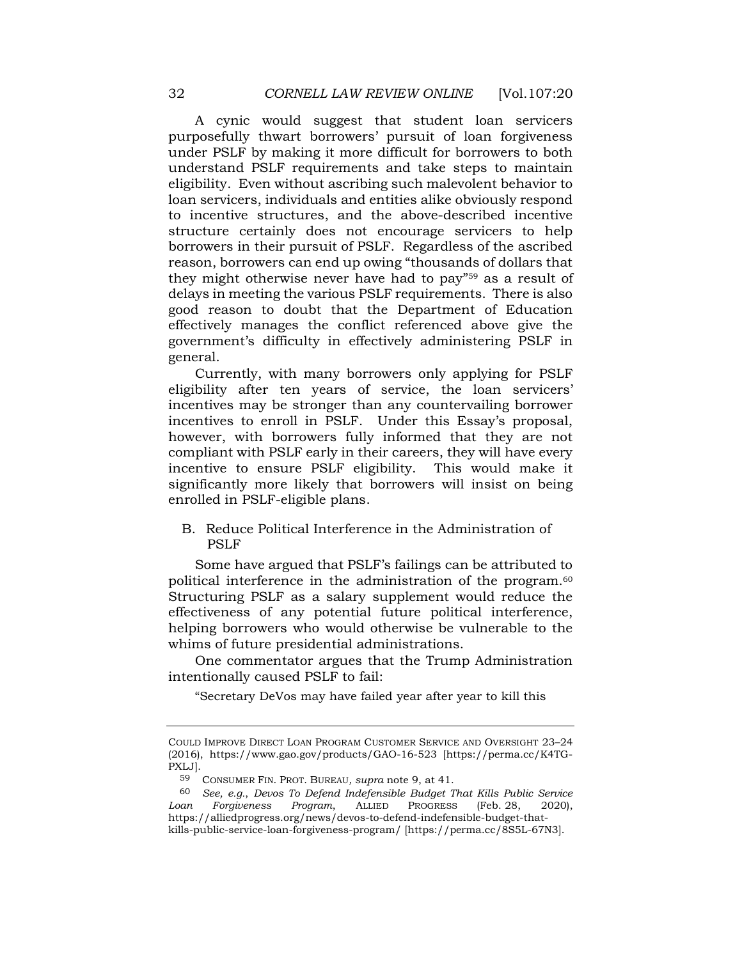A cynic would suggest that student loan servicers purposefully thwart borrowers' pursuit of loan forgiveness under PSLF by making it more difficult for borrowers to both understand PSLF requirements and take steps to maintain eligibility. Even without ascribing such malevolent behavior to loan servicers, individuals and entities alike obviously respond to incentive structures, and the above-described incentive structure certainly does not encourage servicers to help borrowers in their pursuit of PSLF. Regardless of the ascribed reason, borrowers can end up owing "thousands of dollars that they might otherwise never have had to pay"59 as a result of delays in meeting the various PSLF requirements. There is also good reason to doubt that the Department of Education effectively manages the conflict referenced above give the government's difficulty in effectively administering PSLF in general.

Currently, with many borrowers only applying for PSLF eligibility after ten years of service, the loan servicers' incentives may be stronger than any countervailing borrower incentives to enroll in PSLF. Under this Essay's proposal, however, with borrowers fully informed that they are not compliant with PSLF early in their careers, they will have every incentive to ensure PSLF eligibility. This would make it significantly more likely that borrowers will insist on being enrolled in PSLF-eligible plans.

B. Reduce Political Interference in the Administration of PSLF

Some have argued that PSLF's failings can be attributed to political interference in the administration of the program.<sup>60</sup> Structuring PSLF as a salary supplement would reduce the effectiveness of any potential future political interference, helping borrowers who would otherwise be vulnerable to the whims of future presidential administrations.

One commentator argues that the Trump Administration intentionally caused PSLF to fail:

"Secretary DeVos may have failed year after year to kill this

COULD IMPROVE DIRECT LOAN PROGRAM CUSTOMER SERVICE AND OVERSIGHT 23–24 (2016), https://www.gao.gov/products/GAO-16-523 [https://perma.cc/K4TG-PXLJ].

<sup>59</sup> CONSUMER FIN. PROT. BUREAU, supra note 9, at 41.

<sup>60</sup> See, e.g., Devos To Defend Indefensible Budget That Kills Public Service Loan Forgiveness Program, ALLIED PROGRESS (Feb. 28, 2020), https://alliedprogress.org/news/devos-to-defend-indefensible-budget-thatkills-public-service-loan-forgiveness-program/ [https://perma.cc/8S5L-67N3].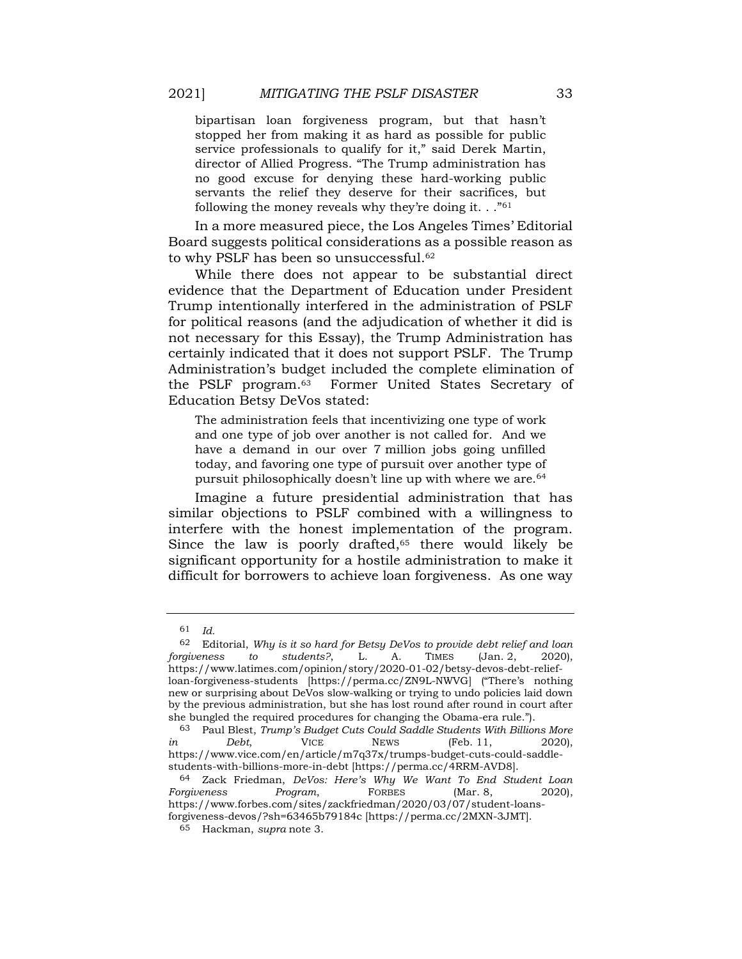bipartisan loan forgiveness program, but that hasn't stopped her from making it as hard as possible for public service professionals to qualify for it," said Derek Martin, director of Allied Progress. "The Trump administration has no good excuse for denying these hard-working public servants the relief they deserve for their sacrifices, but following the money reveals why they're doing it.  $\cdot$ . "<sup>61</sup>

In a more measured piece, the Los Angeles Times' Editorial Board suggests political considerations as a possible reason as to why PSLF has been so unsuccessful.<sup>62</sup>

While there does not appear to be substantial direct evidence that the Department of Education under President Trump intentionally interfered in the administration of PSLF for political reasons (and the adjudication of whether it did is not necessary for this Essay), the Trump Administration has certainly indicated that it does not support PSLF. The Trump Administration's budget included the complete elimination of the PSLF program.63 Former United States Secretary of Education Betsy DeVos stated:

The administration feels that incentivizing one type of work and one type of job over another is not called for. And we have a demand in our over 7 million jobs going unfilled today, and favoring one type of pursuit over another type of pursuit philosophically doesn't line up with where we are.<sup>64</sup>

Imagine a future presidential administration that has similar objections to PSLF combined with a willingness to interfere with the honest implementation of the program. Since the law is poorly drafted, $65$  there would likely be significant opportunity for a hostile administration to make it difficult for borrowers to achieve loan forgiveness. As one way

<sup>61</sup> Id.

<sup>62</sup> Editorial, Why is it so hard for Betsy DeVos to provide debt relief and loan forgiveness to students?, L. A. TIMES (Jan. 2, 2020), https://www.latimes.com/opinion/story/2020-01-02/betsy-devos-debt-reliefloan-forgiveness-students [https://perma.cc/ZN9L-NWVG] ("There's nothing new or surprising about DeVos slow-walking or trying to undo policies laid down by the previous administration, but she has lost round after round in court after she bungled the required procedures for changing the Obama-era rule.").

<sup>63</sup> Paul Blest, Trump's Budget Cuts Could Saddle Students With Billions More in Debt, VICE NEWS (Feb. 11, 2020), https://www.vice.com/en/article/m7q37x/trumps-budget-cuts-could-saddlestudents-with-billions-more-in-debt [https://perma.cc/4RRM-AVD8].

<sup>64</sup> Zack Friedman, DeVos: Here's Why We Want To End Student Loan Forgiveness Program, FORBES (Mar. 8, 2020), https://www.forbes.com/sites/zackfriedman/2020/03/07/student-loansforgiveness-devos/?sh=63465b79184c [https://perma.cc/2MXN-3JMT].

<sup>65</sup> Hackman, supra note 3.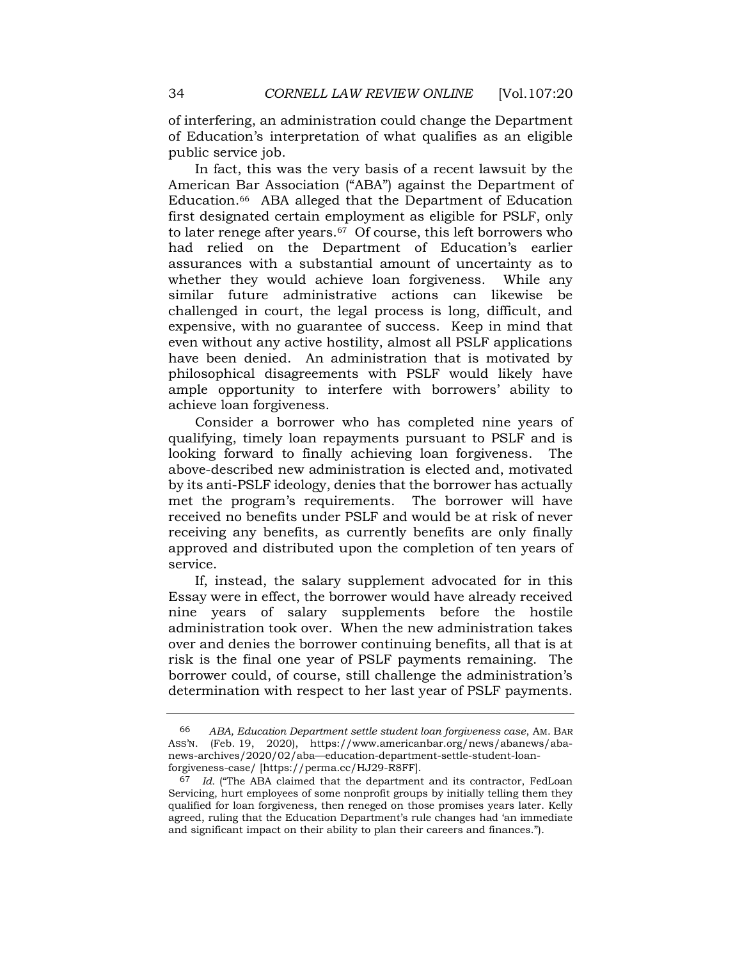of interfering, an administration could change the Department of Education's interpretation of what qualifies as an eligible public service job.

In fact, this was the very basis of a recent lawsuit by the American Bar Association ("ABA") against the Department of Education.66 ABA alleged that the Department of Education first designated certain employment as eligible for PSLF, only to later renege after years.67 Of course, this left borrowers who had relied on the Department of Education's earlier assurances with a substantial amount of uncertainty as to whether they would achieve loan forgiveness. While any similar future administrative actions can likewise be challenged in court, the legal process is long, difficult, and expensive, with no guarantee of success. Keep in mind that even without any active hostility, almost all PSLF applications have been denied. An administration that is motivated by philosophical disagreements with PSLF would likely have ample opportunity to interfere with borrowers' ability to achieve loan forgiveness.

Consider a borrower who has completed nine years of qualifying, timely loan repayments pursuant to PSLF and is looking forward to finally achieving loan forgiveness. The above-described new administration is elected and, motivated by its anti-PSLF ideology, denies that the borrower has actually met the program's requirements. The borrower will have received no benefits under PSLF and would be at risk of never receiving any benefits, as currently benefits are only finally approved and distributed upon the completion of ten years of service.

If, instead, the salary supplement advocated for in this Essay were in effect, the borrower would have already received nine years of salary supplements before the hostile administration took over. When the new administration takes over and denies the borrower continuing benefits, all that is at risk is the final one year of PSLF payments remaining. The borrower could, of course, still challenge the administration's determination with respect to her last year of PSLF payments.

<sup>66</sup> ABA, Education Department settle student loan forgiveness case, AM. BAR ASS'N. (Feb. 19, 2020), https://www.americanbar.org/news/abanews/abanews-archives/2020/02/aba—education-department-settle-student-loanforgiveness-case/ [https://perma.cc/HJ29-R8FF].

<sup>67</sup> Id. ("The ABA claimed that the department and its contractor, FedLoan Servicing, hurt employees of some nonprofit groups by initially telling them they qualified for loan forgiveness, then reneged on those promises years later. Kelly agreed, ruling that the Education Department's rule changes had 'an immediate and significant impact on their ability to plan their careers and finances.").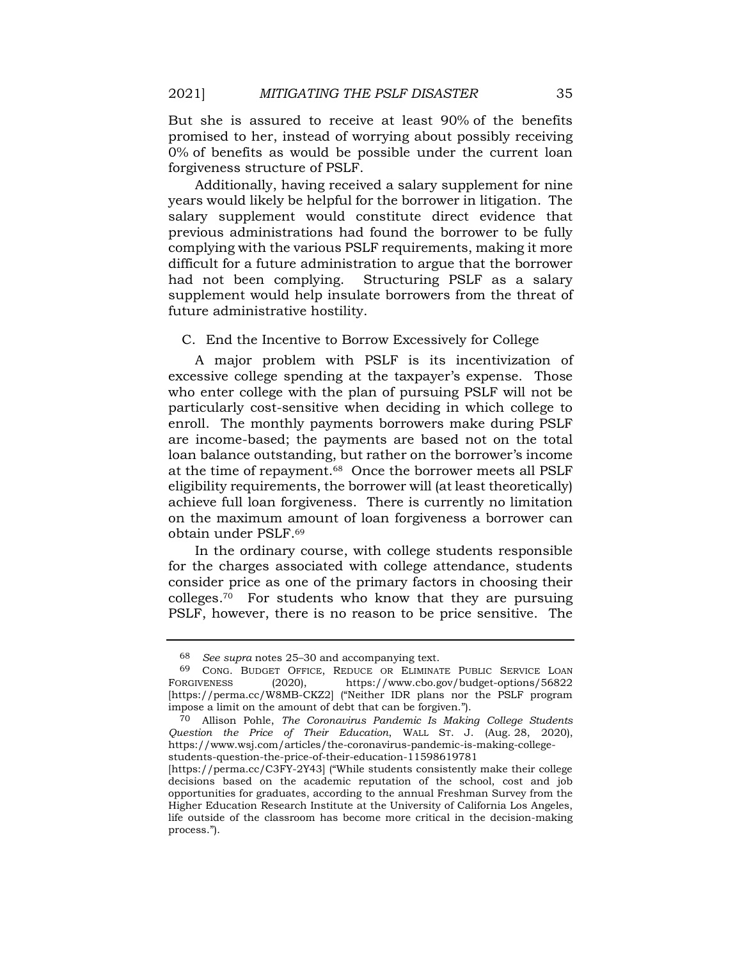But she is assured to receive at least 90% of the benefits promised to her, instead of worrying about possibly receiving 0% of benefits as would be possible under the current loan forgiveness structure of PSLF.

Additionally, having received a salary supplement for nine years would likely be helpful for the borrower in litigation. The salary supplement would constitute direct evidence that previous administrations had found the borrower to be fully complying with the various PSLF requirements, making it more difficult for a future administration to argue that the borrower had not been complying. Structuring PSLF as a salary supplement would help insulate borrowers from the threat of future administrative hostility.

C. End the Incentive to Borrow Excessively for College

A major problem with PSLF is its incentivization of excessive college spending at the taxpayer's expense. Those who enter college with the plan of pursuing PSLF will not be particularly cost-sensitive when deciding in which college to enroll. The monthly payments borrowers make during PSLF are income-based; the payments are based not on the total loan balance outstanding, but rather on the borrower's income at the time of repayment.<sup>68</sup> Once the borrower meets all PSLF eligibility requirements, the borrower will (at least theoretically) achieve full loan forgiveness. There is currently no limitation on the maximum amount of loan forgiveness a borrower can obtain under PSLF.<sup>69</sup>

In the ordinary course, with college students responsible for the charges associated with college attendance, students consider price as one of the primary factors in choosing their colleges.70 For students who know that they are pursuing PSLF, however, there is no reason to be price sensitive. The

<sup>68</sup> See supra notes 25–30 and accompanying text.

<sup>69</sup> CONG. BUDGET OFFICE, REDUCE OR ELIMINATE PUBLIC SERVICE LOAN FORGIVENESS (2020), https://www.cbo.gov/budget-options/56822 [https://perma.cc/W8MB-CKZ2] ("Neither IDR plans nor the PSLF program impose a limit on the amount of debt that can be forgiven.").

<sup>70</sup> Allison Pohle, The Coronavirus Pandemic Is Making College Students Question the Price of Their Education, WALL ST. J. (Aug. 28, 2020), https://www.wsj.com/articles/the-coronavirus-pandemic-is-making-collegestudents-question-the-price-of-their-education-11598619781

<sup>[</sup>https://perma.cc/C3FY-2Y43] ("While students consistently make their college decisions based on the academic reputation of the school, cost and job opportunities for graduates, according to the annual Freshman Survey from the Higher Education Research Institute at the University of California Los Angeles, life outside of the classroom has become more critical in the decision-making process.").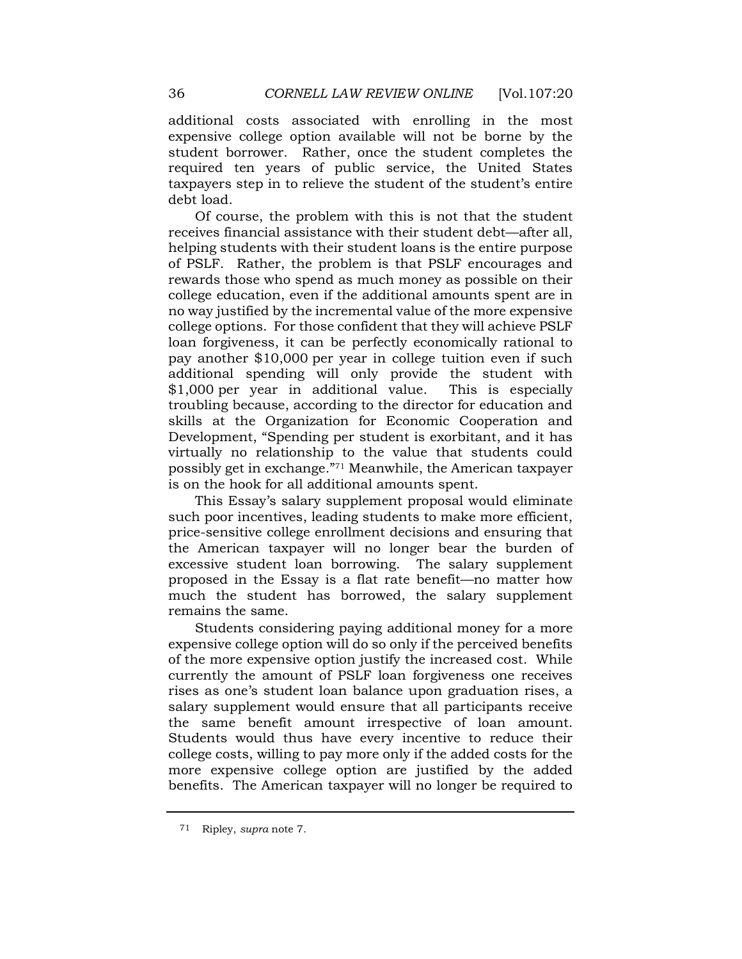additional costs associated with enrolling in the most expensive college option available will not be borne by the student borrower. Rather, once the student completes the required ten years of public service, the United States taxpayers step in to relieve the student of the student's entire debt load.

Of course, the problem with this is not that the student receives financial assistance with their student debt—after all, helping students with their student loans is the entire purpose of PSLF. Rather, the problem is that PSLF encourages and rewards those who spend as much money as possible on their college education, even if the additional amounts spent are in no way justified by the incremental value of the more expensive college options. For those confident that they will achieve PSLF loan forgiveness, it can be perfectly economically rational to pay another \$10,000 per year in college tuition even if such additional spending will only provide the student with \$1,000 per year in additional value. This is especially troubling because, according to the director for education and skills at the Organization for Economic Cooperation and Development, "Spending per student is exorbitant, and it has virtually no relationship to the value that students could possibly get in exchange."71 Meanwhile, the American taxpayer is on the hook for all additional amounts spent.

This Essay's salary supplement proposal would eliminate such poor incentives, leading students to make more efficient, price-sensitive college enrollment decisions and ensuring that the American taxpayer will no longer bear the burden of excessive student loan borrowing. The salary supplement proposed in the Essay is a flat rate benefit—no matter how much the student has borrowed, the salary supplement remains the same.

Students considering paying additional money for a more expensive college option will do so only if the perceived benefits of the more expensive option justify the increased cost. While currently the amount of PSLF loan forgiveness one receives rises as one's student loan balance upon graduation rises, a salary supplement would ensure that all participants receive the same benefit amount irrespective of loan amount. Students would thus have every incentive to reduce their college costs, willing to pay more only if the added costs for the more expensive college option are justified by the added benefits. The American taxpayer will no longer be required to

<sup>71</sup> Ripley, supra note 7.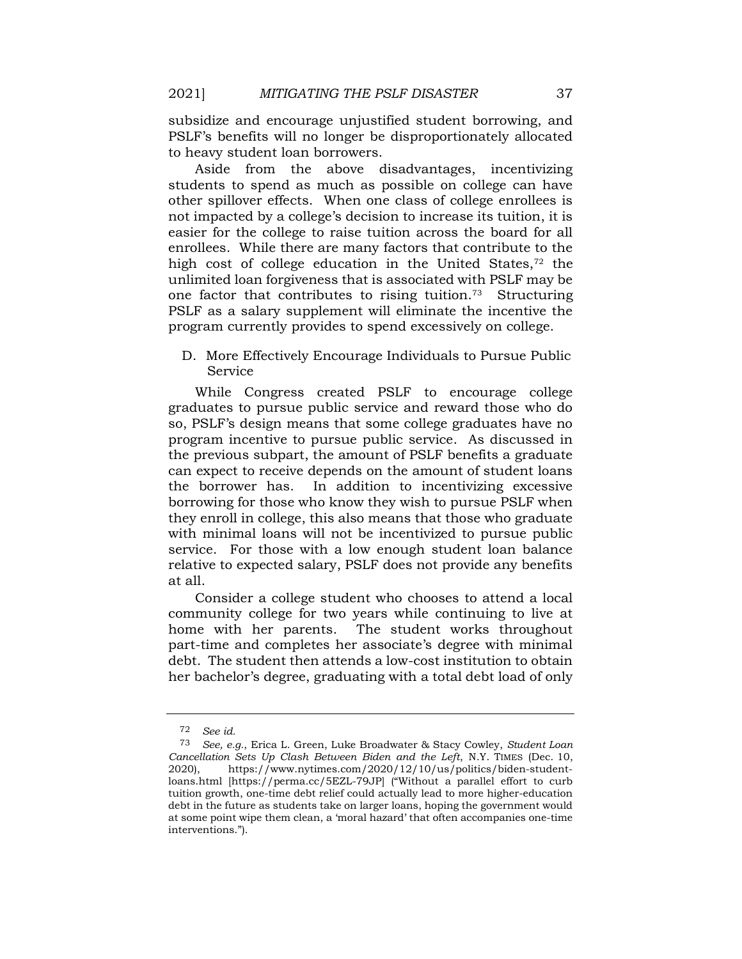subsidize and encourage unjustified student borrowing, and PSLF's benefits will no longer be disproportionately allocated to heavy student loan borrowers.

Aside from the above disadvantages, incentivizing students to spend as much as possible on college can have other spillover effects. When one class of college enrollees is not impacted by a college's decision to increase its tuition, it is easier for the college to raise tuition across the board for all enrollees. While there are many factors that contribute to the high cost of college education in the United States,<sup>72</sup> the unlimited loan forgiveness that is associated with PSLF may be one factor that contributes to rising tuition.73 Structuring PSLF as a salary supplement will eliminate the incentive the program currently provides to spend excessively on college.

D. More Effectively Encourage Individuals to Pursue Public Service

While Congress created PSLF to encourage college graduates to pursue public service and reward those who do so, PSLF's design means that some college graduates have no program incentive to pursue public service. As discussed in the previous subpart, the amount of PSLF benefits a graduate can expect to receive depends on the amount of student loans the borrower has. In addition to incentivizing excessive borrowing for those who know they wish to pursue PSLF when they enroll in college, this also means that those who graduate with minimal loans will not be incentivized to pursue public service. For those with a low enough student loan balance relative to expected salary, PSLF does not provide any benefits at all.

Consider a college student who chooses to attend a local community college for two years while continuing to live at home with her parents. The student works throughout part-time and completes her associate's degree with minimal debt. The student then attends a low-cost institution to obtain her bachelor's degree, graduating with a total debt load of only

<sup>72</sup> See id.

<sup>73</sup> See, e.g., Erica L. Green, Luke Broadwater & Stacy Cowley, Student Loan Cancellation Sets Up Clash Between Biden and the Left, N.Y. TIMES (Dec. 10, 2020), https://www.nytimes.com/2020/12/10/us/politics/biden-studentloans.html [https://perma.cc/5EZL-79JP] ("Without a parallel effort to curb tuition growth, one-time debt relief could actually lead to more higher-education debt in the future as students take on larger loans, hoping the government would at some point wipe them clean, a 'moral hazard' that often accompanies one-time interventions.").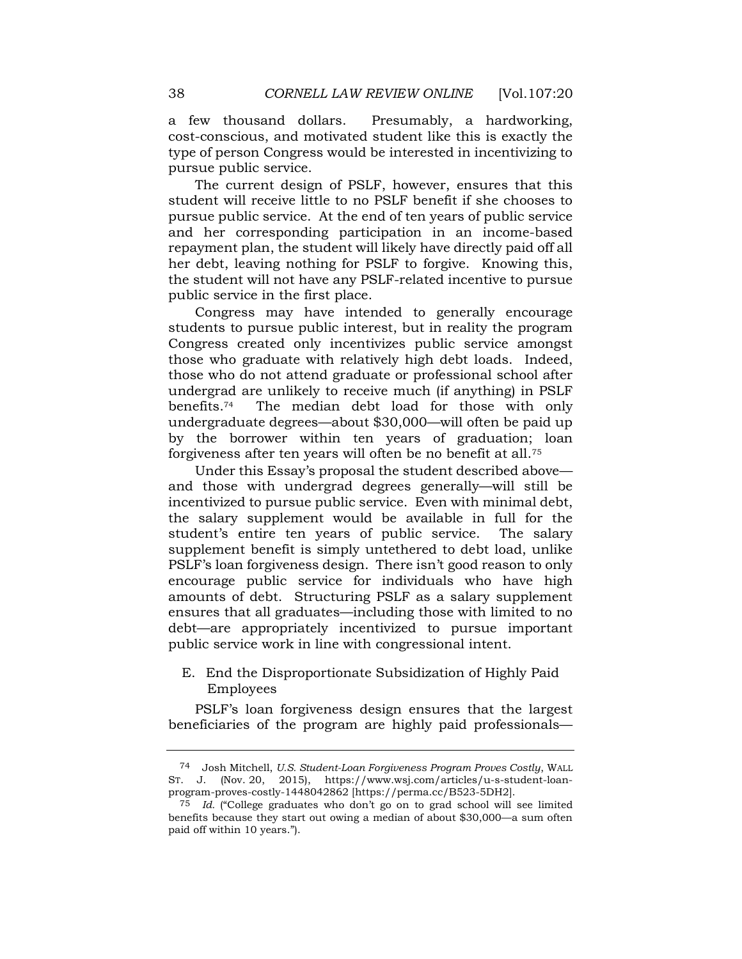a few thousand dollars. Presumably, a hardworking, cost-conscious, and motivated student like this is exactly the type of person Congress would be interested in incentivizing to pursue public service.

The current design of PSLF, however, ensures that this student will receive little to no PSLF benefit if she chooses to pursue public service. At the end of ten years of public service and her corresponding participation in an income-based repayment plan, the student will likely have directly paid off all her debt, leaving nothing for PSLF to forgive. Knowing this, the student will not have any PSLF-related incentive to pursue public service in the first place.

Congress may have intended to generally encourage students to pursue public interest, but in reality the program Congress created only incentivizes public service amongst those who graduate with relatively high debt loads. Indeed, those who do not attend graduate or professional school after undergrad are unlikely to receive much (if anything) in PSLF benefits.74 The median debt load for those with only undergraduate degrees—about \$30,000—will often be paid up by the borrower within ten years of graduation; loan forgiveness after ten years will often be no benefit at all.<sup>75</sup>

Under this Essay's proposal the student described above and those with undergrad degrees generally—will still be incentivized to pursue public service. Even with minimal debt, the salary supplement would be available in full for the student's entire ten years of public service. The salary supplement benefit is simply untethered to debt load, unlike PSLF's loan forgiveness design. There isn't good reason to only encourage public service for individuals who have high amounts of debt. Structuring PSLF as a salary supplement ensures that all graduates—including those with limited to no debt—are appropriately incentivized to pursue important public service work in line with congressional intent.

E. End the Disproportionate Subsidization of Highly Paid Employees

PSLF's loan forgiveness design ensures that the largest beneficiaries of the program are highly paid professionals—

<sup>74</sup> Josh Mitchell, U.S. Student-Loan Forgiveness Program Proves Costly, WALL ST. J. (Nov. 20, 2015), https://www.wsj.com/articles/u-s-student-loanprogram-proves-costly-1448042862 [https://perma.cc/B523-5DH2].

<sup>75</sup> Id. ("College graduates who don't go on to grad school will see limited benefits because they start out owing a median of about \$30,000—a sum often paid off within 10 years.").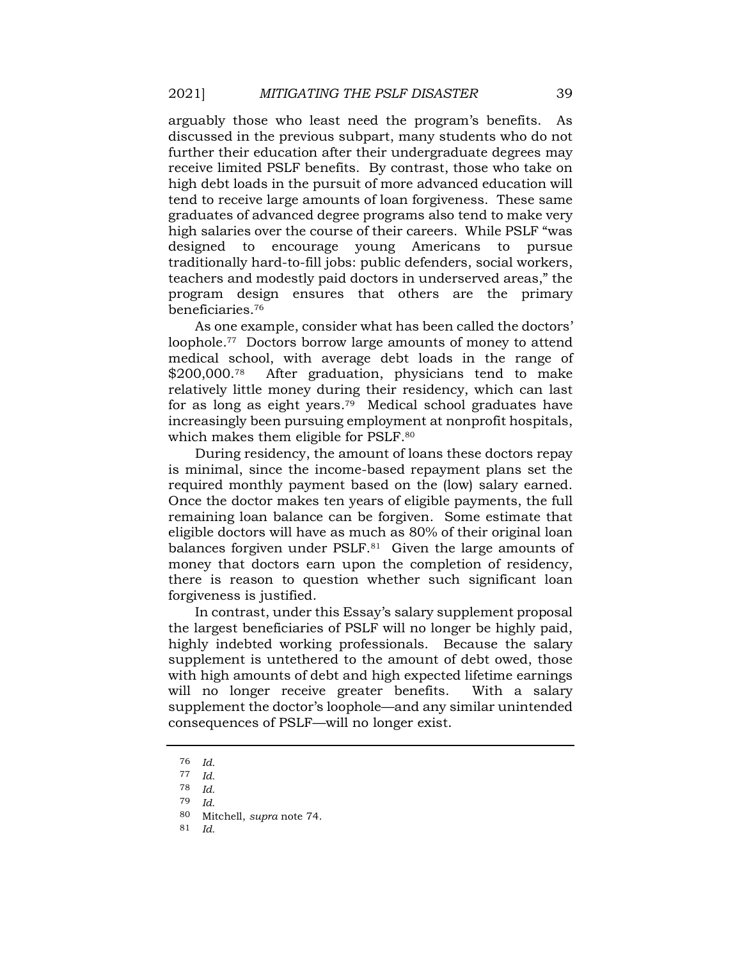arguably those who least need the program's benefits. As discussed in the previous subpart, many students who do not further their education after their undergraduate degrees may receive limited PSLF benefits. By contrast, those who take on high debt loads in the pursuit of more advanced education will tend to receive large amounts of loan forgiveness. These same graduates of advanced degree programs also tend to make very high salaries over the course of their careers. While PSLF "was designed to encourage young Americans to pursue traditionally hard-to-fill jobs: public defenders, social workers, teachers and modestly paid doctors in underserved areas," the program design ensures that others are the primary beneficiaries.<sup>76</sup>

As one example, consider what has been called the doctors' loophole.77 Doctors borrow large amounts of money to attend medical school, with average debt loads in the range of \$200,000.<sup>78</sup> After graduation, physicians tend to make relatively little money during their residency, which can last for as long as eight years.79 Medical school graduates have increasingly been pursuing employment at nonprofit hospitals, which makes them eligible for PSLF.<sup>80</sup>

During residency, the amount of loans these doctors repay is minimal, since the income-based repayment plans set the required monthly payment based on the (low) salary earned. Once the doctor makes ten years of eligible payments, the full remaining loan balance can be forgiven. Some estimate that eligible doctors will have as much as 80% of their original loan balances forgiven under PSLF.<sup>81</sup> Given the large amounts of money that doctors earn upon the completion of residency, there is reason to question whether such significant loan forgiveness is justified.

In contrast, under this Essay's salary supplement proposal the largest beneficiaries of PSLF will no longer be highly paid, highly indebted working professionals. Because the salary supplement is untethered to the amount of debt owed, those with high amounts of debt and high expected lifetime earnings will no longer receive greater benefits. With a salary supplement the doctor's loophole—and any similar unintended consequences of PSLF—will no longer exist.

<sup>76</sup> Id.

<sup>77</sup> Id.

<sup>78</sup> Id.

<sup>79</sup> Id.

<sup>80</sup> Mitchell, supra note 74.

<sup>81</sup> Id.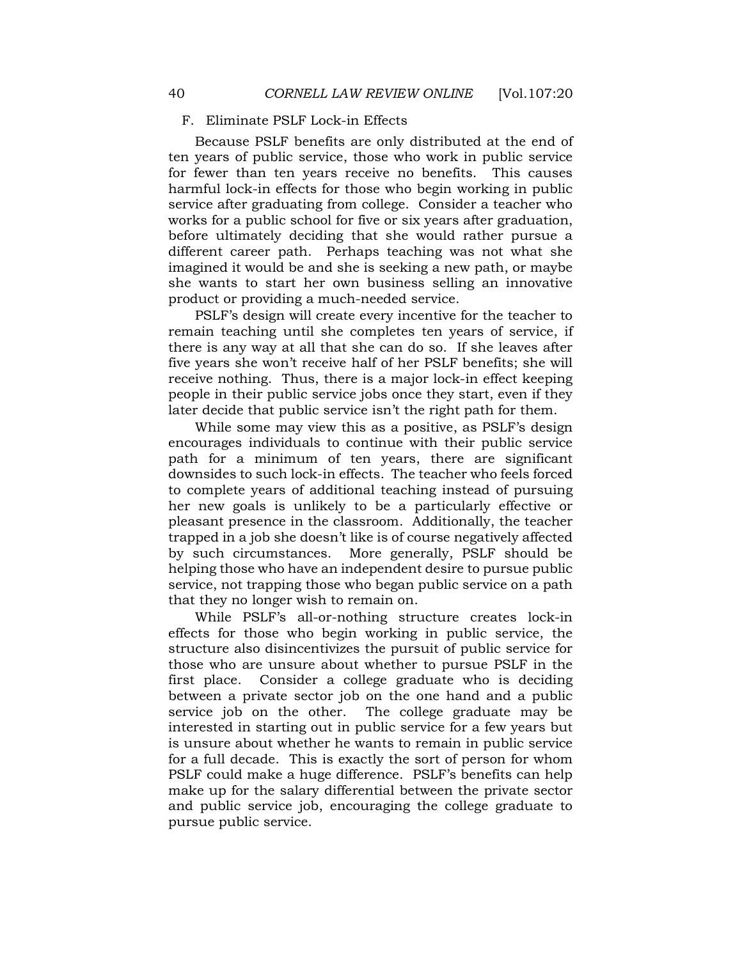F. Eliminate PSLF Lock-in Effects

Because PSLF benefits are only distributed at the end of ten years of public service, those who work in public service for fewer than ten years receive no benefits. This causes harmful lock-in effects for those who begin working in public service after graduating from college. Consider a teacher who works for a public school for five or six years after graduation, before ultimately deciding that she would rather pursue a different career path. Perhaps teaching was not what she imagined it would be and she is seeking a new path, or maybe she wants to start her own business selling an innovative product or providing a much-needed service.

PSLF's design will create every incentive for the teacher to remain teaching until she completes ten years of service, if there is any way at all that she can do so. If she leaves after five years she won't receive half of her PSLF benefits; she will receive nothing. Thus, there is a major lock-in effect keeping people in their public service jobs once they start, even if they later decide that public service isn't the right path for them.

While some may view this as a positive, as PSLF's design encourages individuals to continue with their public service path for a minimum of ten years, there are significant downsides to such lock-in effects. The teacher who feels forced to complete years of additional teaching instead of pursuing her new goals is unlikely to be a particularly effective or pleasant presence in the classroom. Additionally, the teacher trapped in a job she doesn't like is of course negatively affected by such circumstances. More generally, PSLF should be helping those who have an independent desire to pursue public service, not trapping those who began public service on a path that they no longer wish to remain on.

While PSLF's all-or-nothing structure creates lock-in effects for those who begin working in public service, the structure also disincentivizes the pursuit of public service for those who are unsure about whether to pursue PSLF in the first place. Consider a college graduate who is deciding between a private sector job on the one hand and a public service job on the other. The college graduate may be interested in starting out in public service for a few years but is unsure about whether he wants to remain in public service for a full decade. This is exactly the sort of person for whom PSLF could make a huge difference. PSLF's benefits can help make up for the salary differential between the private sector and public service job, encouraging the college graduate to pursue public service.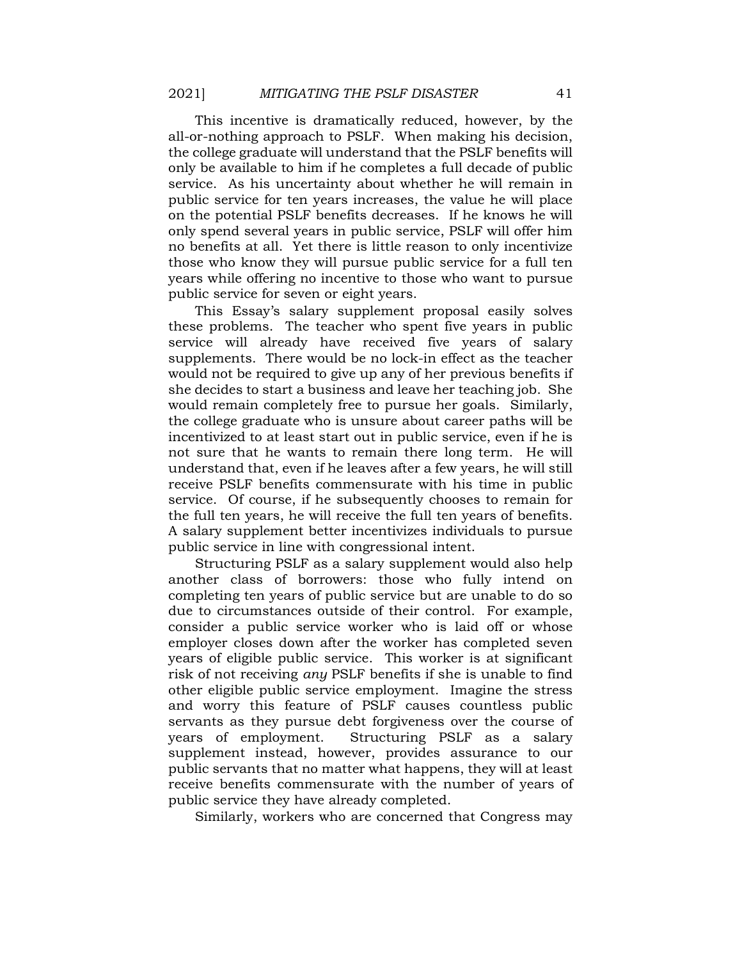This incentive is dramatically reduced, however, by the all-or-nothing approach to PSLF. When making his decision, the college graduate will understand that the PSLF benefits will only be available to him if he completes a full decade of public service. As his uncertainty about whether he will remain in public service for ten years increases, the value he will place on the potential PSLF benefits decreases. If he knows he will only spend several years in public service, PSLF will offer him no benefits at all. Yet there is little reason to only incentivize those who know they will pursue public service for a full ten years while offering no incentive to those who want to pursue public service for seven or eight years.

This Essay's salary supplement proposal easily solves these problems. The teacher who spent five years in public service will already have received five years of salary supplements. There would be no lock-in effect as the teacher would not be required to give up any of her previous benefits if she decides to start a business and leave her teaching job. She would remain completely free to pursue her goals. Similarly, the college graduate who is unsure about career paths will be incentivized to at least start out in public service, even if he is not sure that he wants to remain there long term. He will understand that, even if he leaves after a few years, he will still receive PSLF benefits commensurate with his time in public service. Of course, if he subsequently chooses to remain for the full ten years, he will receive the full ten years of benefits. A salary supplement better incentivizes individuals to pursue public service in line with congressional intent.

Structuring PSLF as a salary supplement would also help another class of borrowers: those who fully intend on completing ten years of public service but are unable to do so due to circumstances outside of their control. For example, consider a public service worker who is laid off or whose employer closes down after the worker has completed seven years of eligible public service. This worker is at significant risk of not receiving any PSLF benefits if she is unable to find other eligible public service employment. Imagine the stress and worry this feature of PSLF causes countless public servants as they pursue debt forgiveness over the course of years of employment. Structuring PSLF as a salary supplement instead, however, provides assurance to our public servants that no matter what happens, they will at least receive benefits commensurate with the number of years of public service they have already completed.

Similarly, workers who are concerned that Congress may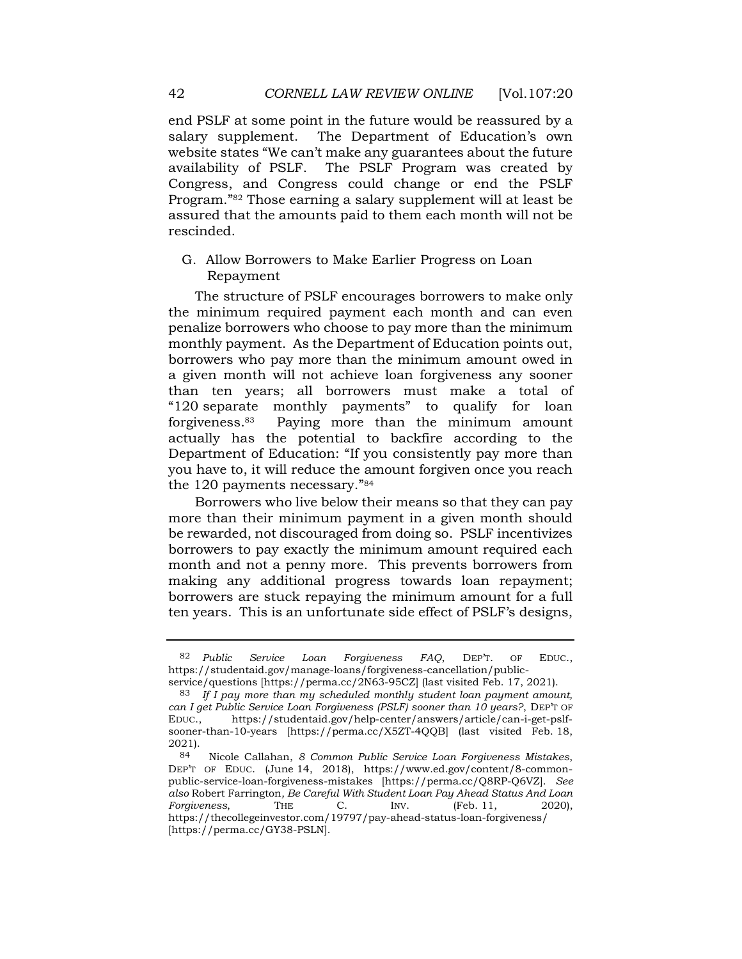end PSLF at some point in the future would be reassured by a salary supplement. The Department of Education's own website states "We can't make any guarantees about the future availability of PSLF. The PSLF Program was created by Congress, and Congress could change or end the PSLF Program."82 Those earning a salary supplement will at least be assured that the amounts paid to them each month will not be rescinded.

G. Allow Borrowers to Make Earlier Progress on Loan Repayment

The structure of PSLF encourages borrowers to make only the minimum required payment each month and can even penalize borrowers who choose to pay more than the minimum monthly payment. As the Department of Education points out, borrowers who pay more than the minimum amount owed in a given month will not achieve loan forgiveness any sooner than ten years; all borrowers must make a total of "120 separate monthly payments" to qualify for loan forgiveness.83 Paying more than the minimum amount actually has the potential to backfire according to the Department of Education: "If you consistently pay more than you have to, it will reduce the amount forgiven once you reach the 120 payments necessary."<sup>84</sup>

Borrowers who live below their means so that they can pay more than their minimum payment in a given month should be rewarded, not discouraged from doing so. PSLF incentivizes borrowers to pay exactly the minimum amount required each month and not a penny more. This prevents borrowers from making any additional progress towards loan repayment; borrowers are stuck repaying the minimum amount for a full ten years. This is an unfortunate side effect of PSLF's designs,

<sup>82</sup> Public Service Loan Forgiveness FAQ, DEP'T. OF EDUC., https://studentaid.gov/manage-loans/forgiveness-cancellation/publicservice/questions [https://perma.cc/2N63-95CZ] (last visited Feb. 17, 2021).

 $83$  If I pay more than my scheduled monthly student loan payment amount, can I get Public Service Loan Forgiveness (PSLF) sooner than 10 years?, DEP'T OF EDUC., https://studentaid.gov/help-center/answers/article/can-i-get-pslfsooner-than-10-years [https://perma.cc/X5ZT-4QQB] (last visited Feb. 18, 2021).

<sup>84</sup> Nicole Callahan, 8 Common Public Service Loan Forgiveness Mistakes, DEP'T OF EDUC. (June 14, 2018), https://www.ed.gov/content/8-commonpublic-service-loan-forgiveness-mistakes [https://perma.cc/Q8RP-Q6VZ]. See also Robert Farrington, Be Careful With Student Loan Pay Ahead Status And Loan Forgiveness, THE C. INV. (Feb. 11, 2020), https://thecollegeinvestor.com/19797/pay-ahead-status-loan-forgiveness/ [https://perma.cc/GY38-PSLN].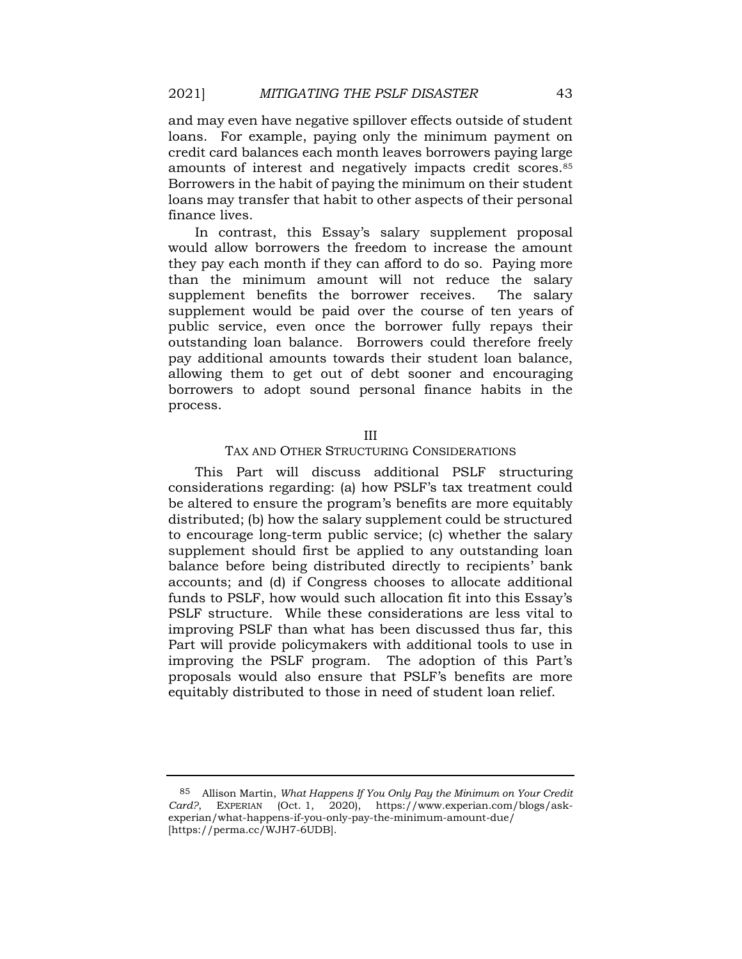and may even have negative spillover effects outside of student loans. For example, paying only the minimum payment on credit card balances each month leaves borrowers paying large amounts of interest and negatively impacts credit scores.<sup>85</sup> Borrowers in the habit of paying the minimum on their student loans may transfer that habit to other aspects of their personal finance lives.

In contrast, this Essay's salary supplement proposal would allow borrowers the freedom to increase the amount they pay each month if they can afford to do so. Paying more than the minimum amount will not reduce the salary supplement benefits the borrower receives. The salary supplement would be paid over the course of ten years of public service, even once the borrower fully repays their outstanding loan balance. Borrowers could therefore freely pay additional amounts towards their student loan balance, allowing them to get out of debt sooner and encouraging borrowers to adopt sound personal finance habits in the process.

#### III

### TAX AND OTHER STRUCTURING CONSIDERATIONS

This Part will discuss additional PSLF structuring considerations regarding: (a) how PSLF's tax treatment could be altered to ensure the program's benefits are more equitably distributed; (b) how the salary supplement could be structured to encourage long-term public service; (c) whether the salary supplement should first be applied to any outstanding loan balance before being distributed directly to recipients' bank accounts; and (d) if Congress chooses to allocate additional funds to PSLF, how would such allocation fit into this Essay's PSLF structure. While these considerations are less vital to improving PSLF than what has been discussed thus far, this Part will provide policymakers with additional tools to use in improving the PSLF program. The adoption of this Part's proposals would also ensure that PSLF's benefits are more equitably distributed to those in need of student loan relief.

<sup>85</sup> Allison Martin, What Happens If You Only Pay the Minimum on Your Credit Card?, EXPERIAN (Oct. 1, 2020), https://www.experian.com/blogs/askexperian/what-happens-if-you-only-pay-the-minimum-amount-due/ [https://perma.cc/WJH7-6UDB].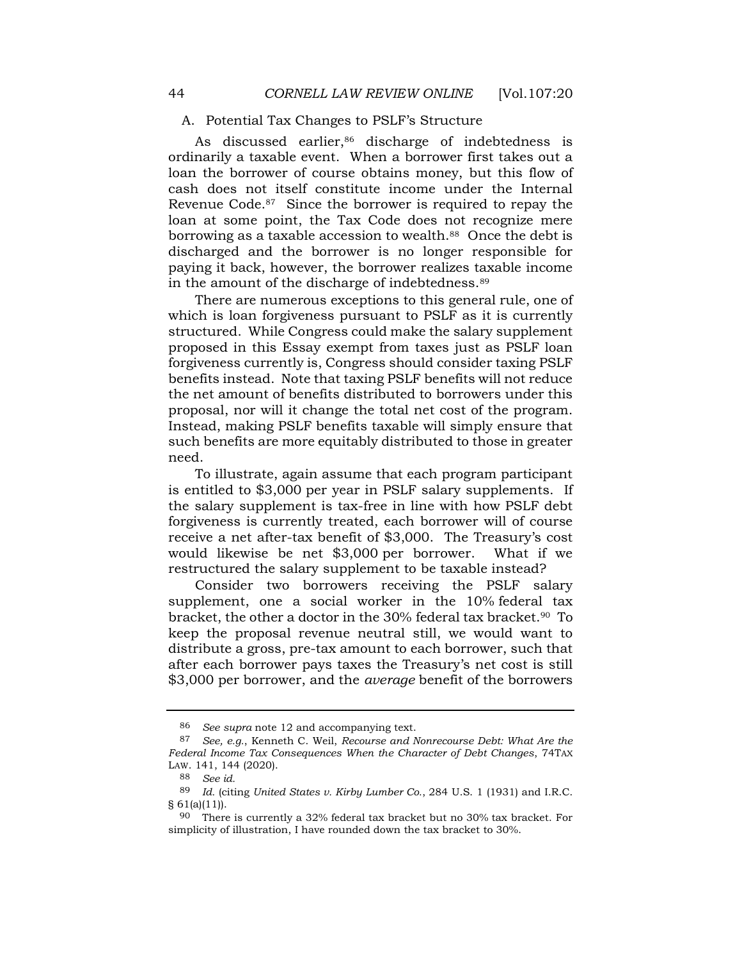## A. Potential Tax Changes to PSLF's Structure

As discussed earlier,<sup>86</sup> discharge of indebtedness is ordinarily a taxable event. When a borrower first takes out a loan the borrower of course obtains money, but this flow of cash does not itself constitute income under the Internal Revenue Code.87 Since the borrower is required to repay the loan at some point, the Tax Code does not recognize mere borrowing as a taxable accession to wealth.<sup>88</sup> Once the debt is discharged and the borrower is no longer responsible for paying it back, however, the borrower realizes taxable income in the amount of the discharge of indebtedness.<sup>89</sup>

There are numerous exceptions to this general rule, one of which is loan forgiveness pursuant to PSLF as it is currently structured. While Congress could make the salary supplement proposed in this Essay exempt from taxes just as PSLF loan forgiveness currently is, Congress should consider taxing PSLF benefits instead. Note that taxing PSLF benefits will not reduce the net amount of benefits distributed to borrowers under this proposal, nor will it change the total net cost of the program. Instead, making PSLF benefits taxable will simply ensure that such benefits are more equitably distributed to those in greater need.

To illustrate, again assume that each program participant is entitled to \$3,000 per year in PSLF salary supplements. If the salary supplement is tax-free in line with how PSLF debt forgiveness is currently treated, each borrower will of course receive a net after-tax benefit of \$3,000. The Treasury's cost would likewise be net \$3,000 per borrower. What if we restructured the salary supplement to be taxable instead?

Consider two borrowers receiving the PSLF salary supplement, one a social worker in the 10% federal tax bracket, the other a doctor in the 30% federal tax bracket.90 To keep the proposal revenue neutral still, we would want to distribute a gross, pre-tax amount to each borrower, such that after each borrower pays taxes the Treasury's net cost is still \$3,000 per borrower, and the *average* benefit of the borrowers

<sup>86</sup> See supra note 12 and accompanying text.

<sup>87</sup> See, e.g., Kenneth C. Weil, Recourse and Nonrecourse Debt: What Are the Federal Income Tax Consequences When the Character of Debt Changes, 74TAX LAW. 141, 144 (2020).

<sup>88</sup> See id.

<sup>89</sup> Id. (citing United States v. Kirby Lumber Co., 284 U.S. 1 (1931) and I.R.C. § 61(a)(11)).

<sup>90</sup> There is currently a 32% federal tax bracket but no 30% tax bracket. For simplicity of illustration, I have rounded down the tax bracket to 30%.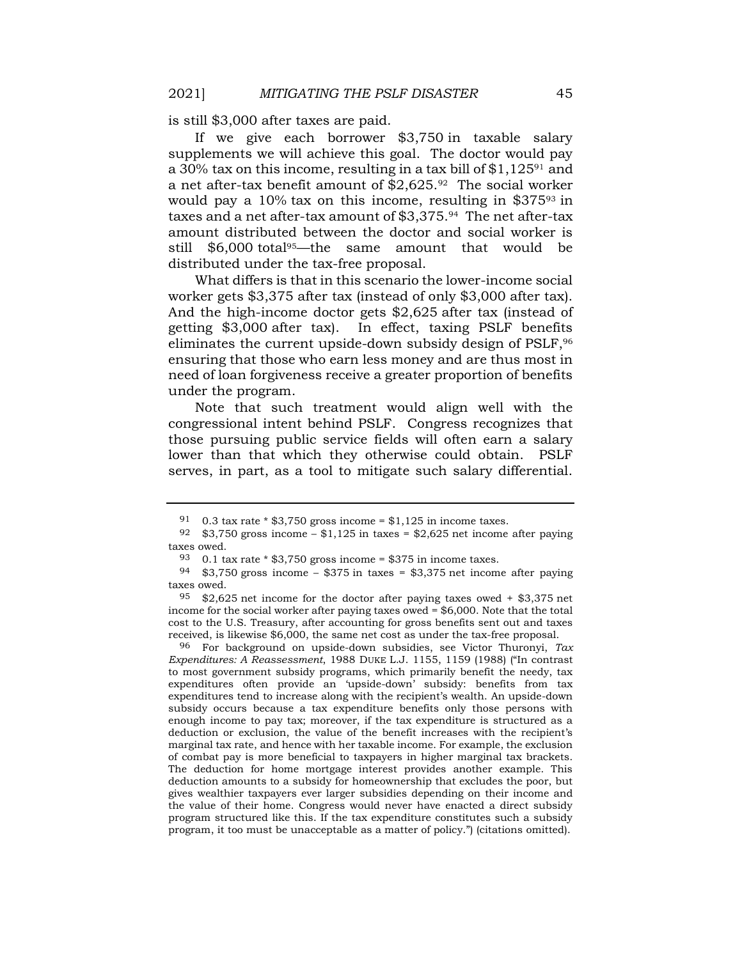is still \$3,000 after taxes are paid.

If we give each borrower \$3,750 in taxable salary supplements we will achieve this goal. The doctor would pay a 30% tax on this income, resulting in a tax bill of  $$1,125<sup>91</sup>$  and a net after-tax benefit amount of \$2,625.92 The social worker would pay a 10% tax on this income, resulting in \$37593 in taxes and a net after-tax amount of \$3,375.94 The net after-tax amount distributed between the doctor and social worker is still \$6,000 total<sup>95</sup>—the same amount that would be distributed under the tax-free proposal.

What differs is that in this scenario the lower-income social worker gets \$3,375 after tax (instead of only \$3,000 after tax). And the high-income doctor gets \$2,625 after tax (instead of getting \$3,000 after tax). In effect, taxing PSLF benefits eliminates the current upside-down subsidy design of PSLF,<sup>96</sup> ensuring that those who earn less money and are thus most in need of loan forgiveness receive a greater proportion of benefits under the program.

Note that such treatment would align well with the congressional intent behind PSLF. Congress recognizes that those pursuing public service fields will often earn a salary lower than that which they otherwise could obtain. PSLF serves, in part, as a tool to mitigate such salary differential.

96 For background on upside-down subsidies, see Victor Thuronyi,  $Tax$ Expenditures: A Reassessment, 1988 DUKE L.J. 1155, 1159 (1988) ("In contrast to most government subsidy programs, which primarily benefit the needy, tax expenditures often provide an 'upside-down' subsidy: benefits from tax expenditures tend to increase along with the recipient's wealth. An upside-down subsidy occurs because a tax expenditure benefits only those persons with enough income to pay tax; moreover, if the tax expenditure is structured as a deduction or exclusion, the value of the benefit increases with the recipient's marginal tax rate, and hence with her taxable income. For example, the exclusion of combat pay is more beneficial to taxpayers in higher marginal tax brackets. The deduction for home mortgage interest provides another example. This deduction amounts to a subsidy for homeownership that excludes the poor, but gives wealthier taxpayers ever larger subsidies depending on their income and the value of their home. Congress would never have enacted a direct subsidy program structured like this. If the tax expenditure constitutes such a subsidy program, it too must be unacceptable as a matter of policy.") (citations omitted).

<sup>91 0.3</sup> tax rate  $*$  \$3,750 gross income = \$1,125 in income taxes.

<sup>92 \$3,750</sup> gross income – \$1,125 in taxes = \$2,625 net income after paying taxes owed.

<sup>93 0.1</sup> tax rate  $*$  \$3,750 gross income = \$375 in income taxes.

<sup>94</sup> \$3,750 gross income – \$375 in taxes = \$3,375 net income after paying taxes owed.

<sup>95</sup> \$2,625 net income for the doctor after paying taxes owed + \$3,375 net income for the social worker after paying taxes owed  $= $6,000$ . Note that the total cost to the U.S. Treasury, after accounting for gross benefits sent out and taxes received, is likewise \$6,000, the same net cost as under the tax-free proposal.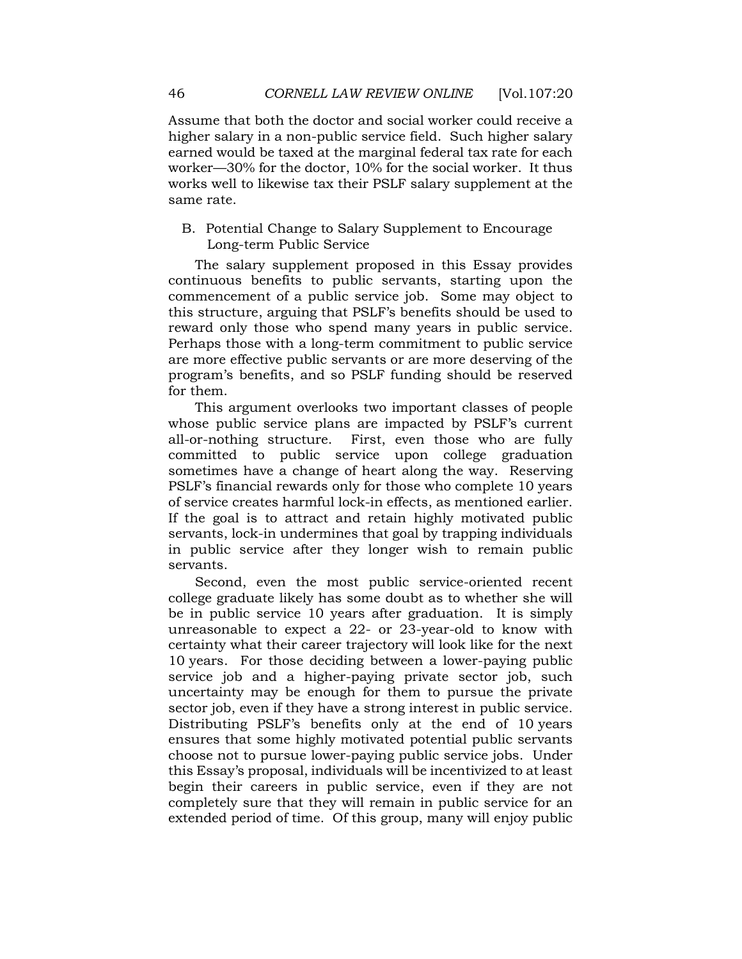Assume that both the doctor and social worker could receive a higher salary in a non-public service field. Such higher salary earned would be taxed at the marginal federal tax rate for each worker—30% for the doctor, 10% for the social worker. It thus works well to likewise tax their PSLF salary supplement at the same rate.

## B. Potential Change to Salary Supplement to Encourage Long-term Public Service

The salary supplement proposed in this Essay provides continuous benefits to public servants, starting upon the commencement of a public service job. Some may object to this structure, arguing that PSLF's benefits should be used to reward only those who spend many years in public service. Perhaps those with a long-term commitment to public service are more effective public servants or are more deserving of the program's benefits, and so PSLF funding should be reserved for them.

This argument overlooks two important classes of people whose public service plans are impacted by PSLF's current all-or-nothing structure. First, even those who are fully committed to public service upon college graduation sometimes have a change of heart along the way. Reserving PSLF's financial rewards only for those who complete 10 years of service creates harmful lock-in effects, as mentioned earlier. If the goal is to attract and retain highly motivated public servants, lock-in undermines that goal by trapping individuals in public service after they longer wish to remain public servants.

Second, even the most public service-oriented recent college graduate likely has some doubt as to whether she will be in public service 10 years after graduation. It is simply unreasonable to expect a 22- or 23-year-old to know with certainty what their career trajectory will look like for the next 10 years. For those deciding between a lower-paying public service job and a higher-paying private sector job, such uncertainty may be enough for them to pursue the private sector job, even if they have a strong interest in public service. Distributing PSLF's benefits only at the end of 10 years ensures that some highly motivated potential public servants choose not to pursue lower-paying public service jobs. Under this Essay's proposal, individuals will be incentivized to at least begin their careers in public service, even if they are not completely sure that they will remain in public service for an extended period of time. Of this group, many will enjoy public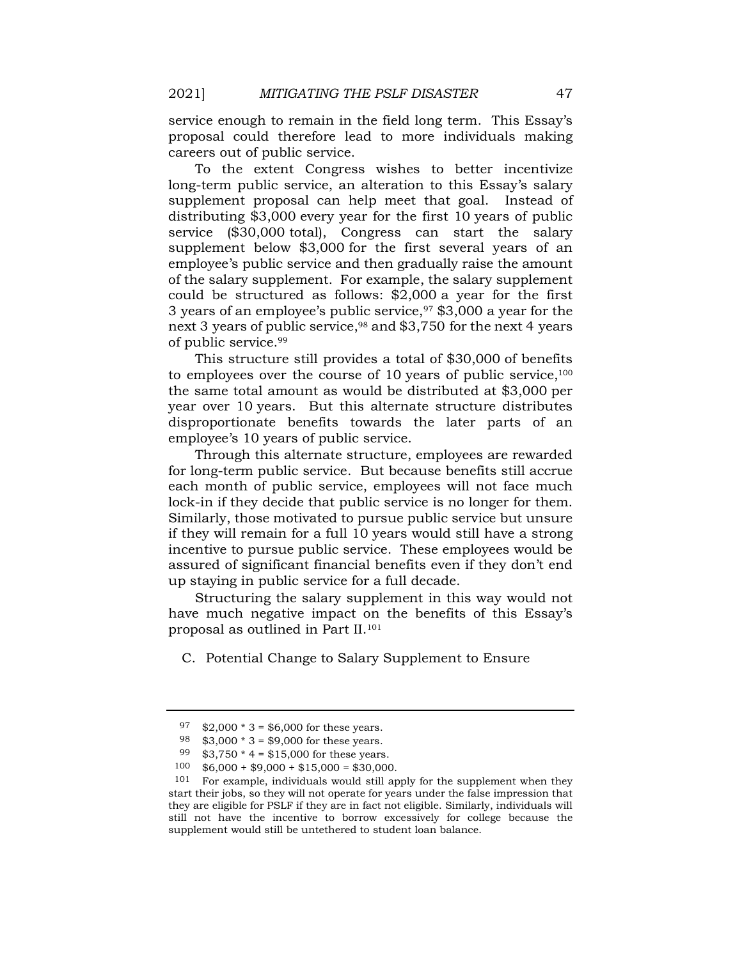service enough to remain in the field long term. This Essay's proposal could therefore lead to more individuals making careers out of public service.

To the extent Congress wishes to better incentivize long-term public service, an alteration to this Essay's salary supplement proposal can help meet that goal. Instead of distributing \$3,000 every year for the first 10 years of public service (\$30,000 total), Congress can start the salary supplement below \$3,000 for the first several years of an employee's public service and then gradually raise the amount of the salary supplement. For example, the salary supplement could be structured as follows: \$2,000 a year for the first 3 years of an employee's public service,  $97$  \$3,000 a year for the next 3 years of public service,<sup>98</sup> and \$3,750 for the next 4 years of public service.<sup>99</sup>

This structure still provides a total of \$30,000 of benefits to employees over the course of 10 years of public service, $100$ the same total amount as would be distributed at \$3,000 per year over 10 years. But this alternate structure distributes disproportionate benefits towards the later parts of an employee's 10 years of public service.

Through this alternate structure, employees are rewarded for long-term public service. But because benefits still accrue each month of public service, employees will not face much lock-in if they decide that public service is no longer for them. Similarly, those motivated to pursue public service but unsure if they will remain for a full 10 years would still have a strong incentive to pursue public service. These employees would be assured of significant financial benefits even if they don't end up staying in public service for a full decade.

Structuring the salary supplement in this way would not have much negative impact on the benefits of this Essay's proposal as outlined in Part II.<sup>101</sup>

C. Potential Change to Salary Supplement to Ensure

<sup>97</sup> \$2,000 \* 3 = \$6,000 for these years.

<sup>98</sup> \$3,000 \* 3 = \$9,000 for these years.

<sup>99</sup>  $$3,750 * 4 = $15,000$  for these years.

 $100 \quad $6,000 + $9,000 + $15,000 = $30,000.$ 

<sup>101</sup> For example, individuals would still apply for the supplement when they start their jobs, so they will not operate for years under the false impression that they are eligible for PSLF if they are in fact not eligible. Similarly, individuals will still not have the incentive to borrow excessively for college because the supplement would still be untethered to student loan balance.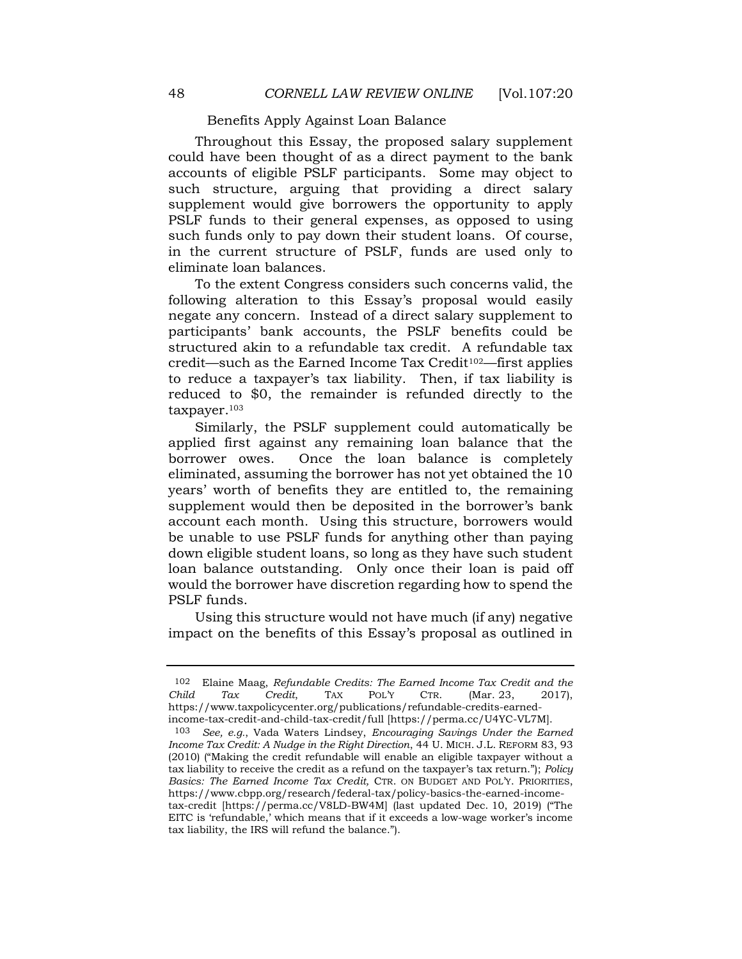## Benefits Apply Against Loan Balance

Throughout this Essay, the proposed salary supplement could have been thought of as a direct payment to the bank accounts of eligible PSLF participants. Some may object to such structure, arguing that providing a direct salary supplement would give borrowers the opportunity to apply PSLF funds to their general expenses, as opposed to using such funds only to pay down their student loans. Of course, in the current structure of PSLF, funds are used only to eliminate loan balances.

To the extent Congress considers such concerns valid, the following alteration to this Essay's proposal would easily negate any concern. Instead of a direct salary supplement to participants' bank accounts, the PSLF benefits could be structured akin to a refundable tax credit. A refundable tax  $credit$ —such as the Earned Income Tax Credit<sup>102</sup>—first applies to reduce a taxpayer's tax liability. Then, if tax liability is reduced to \$0, the remainder is refunded directly to the taxpayer.<sup>103</sup>

Similarly, the PSLF supplement could automatically be applied first against any remaining loan balance that the borrower owes. Once the loan balance is completely eliminated, assuming the borrower has not yet obtained the 10 years' worth of benefits they are entitled to, the remaining supplement would then be deposited in the borrower's bank account each month. Using this structure, borrowers would be unable to use PSLF funds for anything other than paying down eligible student loans, so long as they have such student loan balance outstanding. Only once their loan is paid off would the borrower have discretion regarding how to spend the PSLF funds.

Using this structure would not have much (if any) negative impact on the benefits of this Essay's proposal as outlined in

<sup>102</sup> Elaine Maag, Refundable Credits: The Earned Income Tax Credit and the  $\frac{102}{100}$  Tax Credit  $\frac{102}{100}$  Tax Credit  $\frac{102}{100}$  Cre $\frac{102}{100}$  Credit  $\frac{102}{100}$  Credit  $\frac{102}{100}$  Credit  $\frac{102}{100}$  Cre Child Tax Credit, TAX POL'Y CTR. (Mar. 23, 2017), https://www.taxpolicycenter.org/publications/refundable-credits-earnedincome-tax-credit-and-child-tax-credit/full [https://perma.cc/U4YC-VL7M].

<sup>103</sup> See, e.g., Vada Waters Lindsey, Encouraging Savings Under the Earned Income Tax Credit: A Nudge in the Right Direction, 44 U. MICH. J.L. REFORM 83, 93 (2010) ("Making the credit refundable will enable an eligible taxpayer without a tax liability to receive the credit as a refund on the taxpayer's tax return."); Policy Basics: The Earned Income Tax Credit, CTR. ON BUDGET AND POLY. PRIORITIES, https://www.cbpp.org/research/federal-tax/policy-basics-the-earned-incometax-credit [https://perma.cc/V8LD-BW4M] (last updated Dec. 10, 2019) ("The EITC is 'refundable,' which means that if it exceeds a low-wage worker's income tax liability, the IRS will refund the balance.").